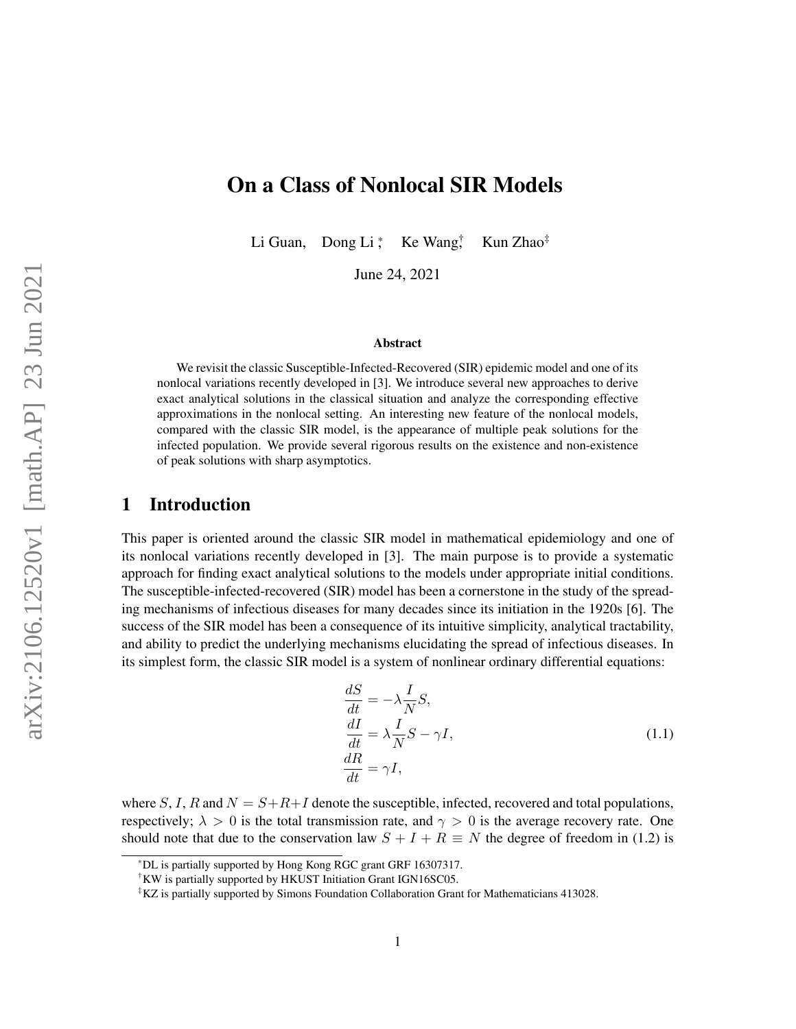# On a Class of Nonlocal SIR Models

Li Guan, Dong Li  $^*$  Ke Wang $\ddagger$ Kun Zhao<sup>‡</sup>

June 24, 2021

#### Abstract

We revisit the classic Susceptible-Infected-Recovered (SIR) epidemic model and one of its nonlocal variations recently developed in [\[3\]](#page-20-0). We introduce several new approaches to derive exact analytical solutions in the classical situation and analyze the corresponding effective approximations in the nonlocal setting. An interesting new feature of the nonlocal models, compared with the classic SIR model, is the appearance of multiple peak solutions for the infected population. We provide several rigorous results on the existence and non-existence of peak solutions with sharp asymptotics.

### 1 Introduction

This paper is oriented around the classic SIR model in mathematical epidemiology and one of its nonlocal variations recently developed in [\[3\]](#page-20-0). The main purpose is to provide a systematic approach for finding exact analytical solutions to the models under appropriate initial conditions. The susceptible-infected-recovered (SIR) model has been a cornerstone in the study of the spreading mechanisms of infectious diseases for many decades since its initiation in the 1920s [\[6\]](#page-20-1). The success of the SIR model has been a consequence of its intuitive simplicity, analytical tractability, and ability to predict the underlying mechanisms elucidating the spread of infectious diseases. In its simplest form, the classic SIR model is a system of nonlinear ordinary differential equations:

<span id="page-0-0"></span>
$$
\frac{dS}{dt} = -\lambda \frac{I}{N} S,
$$
\n
$$
\frac{dI}{dt} = \lambda \frac{I}{N} S - \gamma I,
$$
\n
$$
\frac{dR}{dt} = \gamma I,
$$
\n(1.1)

where S, I, R and  $N = S + R + I$  denote the susceptible, infected, recovered and total populations, respectively;  $\lambda > 0$  is the total transmission rate, and  $\gamma > 0$  is the average recovery rate. One should note that due to the conservation law  $S + I + R \equiv N$  the degree of freedom in [\(1.2\)](#page-1-0) is

<sup>\*</sup>DL is partially supported by Hong Kong RGC grant GRF 16307317.

<sup>†</sup>KW is partially supported by HKUST Initiation Grant IGN16SC05.

<sup>‡</sup>KZ is partially supported by Simons Foundation Collaboration Grant for Mathematicians 413028.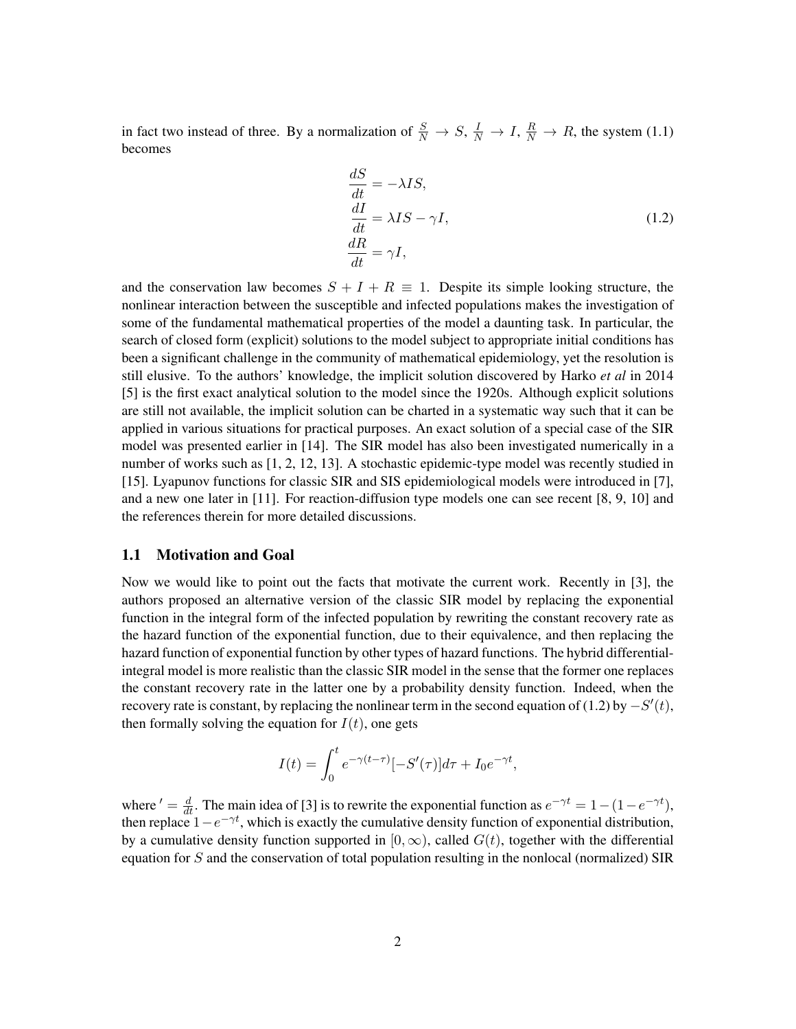in fact two instead of three. By a normalization of  $\frac{S}{N} \to S$ ,  $\frac{I}{N} \to I$ ,  $\frac{R}{N} \to R$ , the system [\(1.1\)](#page-0-0) becomes

<span id="page-1-0"></span>
$$
\begin{aligned}\n\frac{dS}{dt} &= -\lambda IS, \\
\frac{dI}{dt} &= \lambda IS - \gamma I, \\
\frac{dR}{dt} &= \gamma I,\n\end{aligned} \n(1.2)
$$

and the conservation law becomes  $S + I + R \equiv 1$ . Despite its simple looking structure, the nonlinear interaction between the susceptible and infected populations makes the investigation of some of the fundamental mathematical properties of the model a daunting task. In particular, the search of closed form (explicit) solutions to the model subject to appropriate initial conditions has been a significant challenge in the community of mathematical epidemiology, yet the resolution is still elusive. To the authors' knowledge, the implicit solution discovered by Harko *et al* in 2014 [\[5\]](#page-20-2) is the first exact analytical solution to the model since the 1920s. Although explicit solutions are still not available, the implicit solution can be charted in a systematic way such that it can be applied in various situations for practical purposes. An exact solution of a special case of the SIR model was presented earlier in [\[14\]](#page-20-3). The SIR model has also been investigated numerically in a number of works such as [\[1,](#page-20-4) [2,](#page-20-5) [12,](#page-20-6) [13\]](#page-20-7). A stochastic epidemic-type model was recently studied in [\[15\]](#page-20-8). Lyapunov functions for classic SIR and SIS epidemiological models were introduced in [\[7\]](#page-20-9), and a new one later in [\[11\]](#page-20-10). For reaction-diffusion type models one can see recent [\[8,](#page-20-11) [9,](#page-20-12) [10\]](#page-20-13) and the references therein for more detailed discussions.

### 1.1 Motivation and Goal

Now we would like to point out the facts that motivate the current work. Recently in [\[3\]](#page-20-0), the authors proposed an alternative version of the classic SIR model by replacing the exponential function in the integral form of the infected population by rewriting the constant recovery rate as the hazard function of the exponential function, due to their equivalence, and then replacing the hazard function of exponential function by other types of hazard functions. The hybrid differentialintegral model is more realistic than the classic SIR model in the sense that the former one replaces the constant recovery rate in the latter one by a probability density function. Indeed, when the recovery rate is constant, by replacing the nonlinear term in the second equation of [\(1.2\)](#page-1-0) by  $-S'(t)$ , then formally solving the equation for  $I(t)$ , one gets

$$
I(t) = \int_0^t e^{-\gamma(t-\tau)} [-S'(\tau)]d\tau + I_0 e^{-\gamma t},
$$

where  $d' = \frac{d}{dt}$ . The main idea of [\[3\]](#page-20-0) is to rewrite the exponential function as  $e^{-\gamma t} = 1 - (1 - e^{-\gamma t})$ , then replace  $1-e^{-\gamma t}$ , which is exactly the cumulative density function of exponential distribution, by a cumulative density function supported in [0,  $\infty$ ), called  $G(t)$ , together with the differential equation for S and the conservation of total population resulting in the nonlocal (normalized) SIR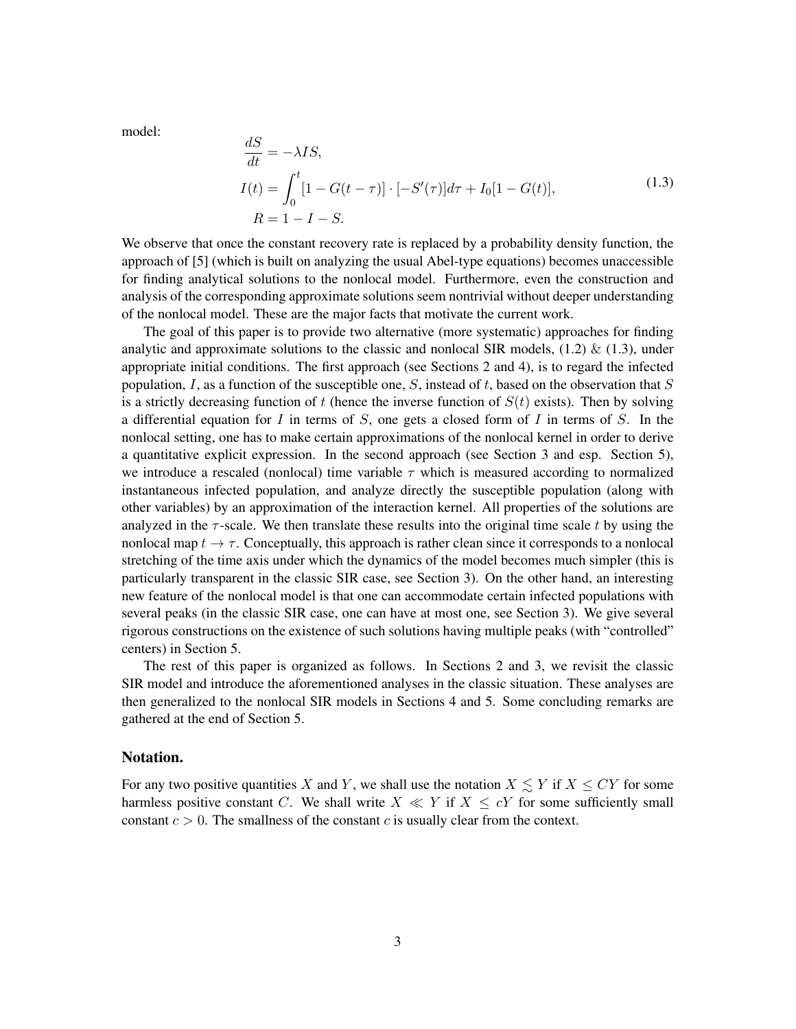model:

<span id="page-2-0"></span>
$$
\frac{dS}{dt} = -\lambda IS,
$$
  
\n
$$
I(t) = \int_0^t [1 - G(t - \tau)] \cdot [-S'(\tau)] d\tau + I_0 [1 - G(t)],
$$
  
\n
$$
R = 1 - I - S.
$$
\n(1.3)

We observe that once the constant recovery rate is replaced by a probability density function, the approach of [\[5\]](#page-20-2) (which is built on analyzing the usual Abel-type equations) becomes unaccessible for finding analytical solutions to the nonlocal model. Furthermore, even the construction and analysis of the corresponding approximate solutions seem nontrivial without deeper understanding of the nonlocal model. These are the major facts that motivate the current work.

The goal of this paper is to provide two alternative (more systematic) approaches for finding analytic and approximate solutions to the classic and nonlocal SIR models,  $(1.2) \& (1.3)$  $(1.2) \& (1.3)$  $(1.2) \& (1.3)$ , under appropriate initial conditions. The first approach (see Sections 2 and 4), is to regard the infected population, I, as a function of the susceptible one, S, instead of t, based on the observation that  $S$ is a strictly decreasing function of t (hence the inverse function of  $S(t)$  exists). Then by solving a differential equation for I in terms of S, one gets a closed form of I in terms of S. In the nonlocal setting, one has to make certain approximations of the nonlocal kernel in order to derive a quantitative explicit expression. In the second approach (see Section 3 and esp. Section 5), we introduce a rescaled (nonlocal) time variable  $\tau$  which is measured according to normalized instantaneous infected population, and analyze directly the susceptible population (along with other variables) by an approximation of the interaction kernel. All properties of the solutions are analyzed in the  $\tau$ -scale. We then translate these results into the original time scale t by using the nonlocal map  $t \to \tau$ . Conceptually, this approach is rather clean since it corresponds to a nonlocal stretching of the time axis under which the dynamics of the model becomes much simpler (this is particularly transparent in the classic SIR case, see Section 3). On the other hand, an interesting new feature of the nonlocal model is that one can accommodate certain infected populations with several peaks (in the classic SIR case, one can have at most one, see Section 3). We give several rigorous constructions on the existence of such solutions having multiple peaks (with "controlled" centers) in Section 5.

The rest of this paper is organized as follows. In Sections 2 and 3, we revisit the classic SIR model and introduce the aforementioned analyses in the classic situation. These analyses are then generalized to the nonlocal SIR models in Sections 4 and 5. Some concluding remarks are gathered at the end of Section 5.

### Notation.

For any two positive quantities X and Y, we shall use the notation  $X \leq Y$  if  $X \leq CY$  for some harmless positive constant C. We shall write  $X \ll Y$  if  $X \leq cY$  for some sufficiently small constant  $c > 0$ . The smallness of the constant c is usually clear from the context.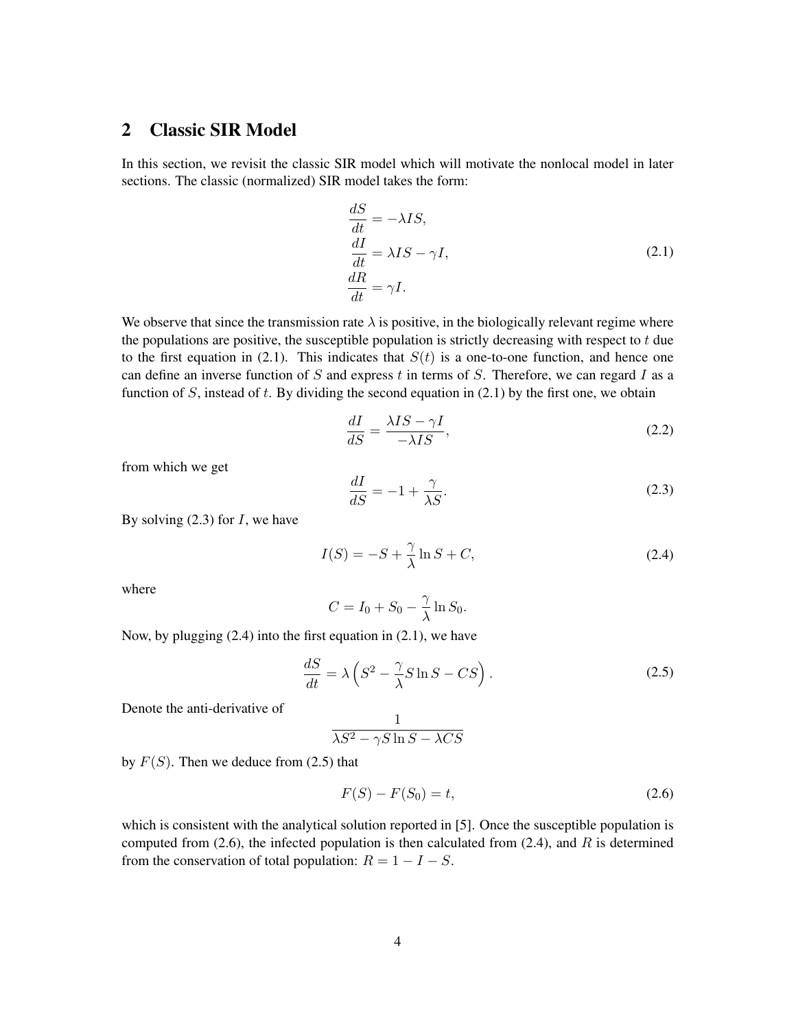# <span id="page-3-5"></span>2 Classic SIR Model

In this section, we revisit the classic SIR model which will motivate the nonlocal model in later sections. The classic (normalized) SIR model takes the form:

<span id="page-3-0"></span>
$$
\begin{aligned}\n\frac{dS}{dt} &= -\lambda IS, \\
\frac{dI}{dt} &= \lambda IS - \gamma I, \\
\frac{dR}{dt} &= \gamma I.\n\end{aligned}
$$
\n(2.1)

We observe that since the transmission rate  $\lambda$  is positive, in the biologically relevant regime where the populations are positive, the susceptible population is strictly decreasing with respect to  $t$  due to the first equation in [\(2.1\)](#page-3-0). This indicates that  $S(t)$  is a one-to-one function, and hence one can define an inverse function of S and express  $t$  in terms of S. Therefore, we can regard I as a function of  $S$ , instead of  $t$ . By dividing the second equation in  $(2.1)$  by the first one, we obtain

$$
\frac{dI}{dS} = \frac{\lambda IS - \gamma I}{-\lambda IS},\tag{2.2}
$$

from which we get

<span id="page-3-1"></span>
$$
\frac{dI}{dS} = -1 + \frac{\gamma}{\lambda S}.\tag{2.3}
$$

By solving  $(2.3)$  for I, we have

<span id="page-3-2"></span>
$$
I(S) = -S + \frac{\gamma}{\lambda} \ln S + C,\tag{2.4}
$$

where

$$
C = I_0 + S_0 - \frac{\gamma}{\lambda} \ln S_0.
$$

Now, by plugging [\(2.4\)](#page-3-2) into the first equation in [\(2.1\)](#page-3-0), we have

<span id="page-3-3"></span>
$$
\frac{dS}{dt} = \lambda \left( S^2 - \frac{\gamma}{\lambda} S \ln S - CS \right). \tag{2.5}
$$

Denote the anti-derivative of

$$
\frac{1}{\lambda S^2 - \gamma S \ln S - \lambda CS}
$$

by  $F(S)$ . Then we deduce from [\(2.5\)](#page-3-3) that

<span id="page-3-4"></span>
$$
F(S) - F(S_0) = t,\t\t(2.6)
$$

which is consistent with the analytical solution reported in [\[5\]](#page-20-2). Once the susceptible population is computed from  $(2.6)$ , the infected population is then calculated from  $(2.4)$ , and R is determined from the conservation of total population:  $R = 1 - I - S$ .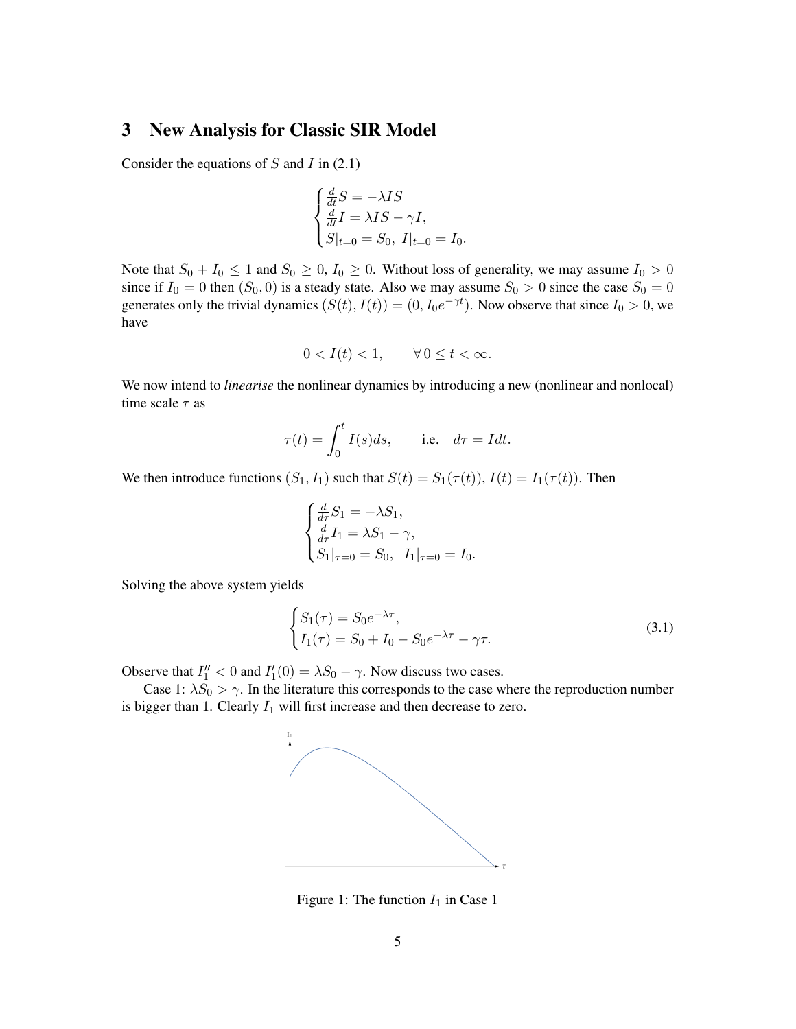# <span id="page-4-1"></span>3 New Analysis for Classic SIR Model

Consider the equations of  $S$  and  $I$  in [\(2.1\)](#page-3-0)

$$
\begin{cases}\n\frac{d}{dt}S = -\lambda IS \\
\frac{d}{dt}I = \lambda IS - \gamma I, \\
S|_{t=0} = S_0, I|_{t=0} = I_0.\n\end{cases}
$$

Note that  $S_0 + I_0 \le 1$  and  $S_0 \ge 0$ ,  $I_0 \ge 0$ . Without loss of generality, we may assume  $I_0 > 0$ since if  $I_0 = 0$  then  $(S_0, 0)$  is a steady state. Also we may assume  $S_0 > 0$  since the case  $S_0 = 0$ generates only the trivial dynamics  $(S(t), I(t)) = (0, I_0 e^{-\gamma t})$ . Now observe that since  $I_0 > 0$ , we have

$$
0 < I(t) < 1, \qquad \forall \, 0 \le t < \infty.
$$

We now intend to *linearise* the nonlinear dynamics by introducing a new (nonlinear and nonlocal) time scale  $\tau$  as

$$
\tau(t) = \int_0^t I(s)ds, \quad \text{i.e.} \quad d\tau = Idt.
$$

We then introduce functions  $(S_1, I_1)$  such that  $S(t) = S_1(\tau(t))$ ,  $I(t) = I_1(\tau(t))$ . Then

<span id="page-4-0"></span>
$$
\begin{cases} \frac{d}{d\tau} S_1 = -\lambda S_1, \\ \frac{d}{d\tau} I_1 = \lambda S_1 - \gamma, \\ S_1|_{\tau=0} = S_0, \ I_1|_{\tau=0} = I_0. \end{cases}
$$

Solving the above system yields

$$
\begin{cases} S_1(\tau) = S_0 e^{-\lambda \tau}, \\ I_1(\tau) = S_0 + I_0 - S_0 e^{-\lambda \tau} - \gamma \tau. \end{cases}
$$
\n(3.1)

Observe that  $I_1'' < 0$  and  $I_1'(0) = \lambda S_0 - \gamma$ . Now discuss two cases.

Case 1:  $\lambda S_0 > \gamma$ . In the literature this corresponds to the case where the reproduction number is bigger than 1. Clearly  $I_1$  will first increase and then decrease to zero.



Figure 1: The function  $I_1$  in Case 1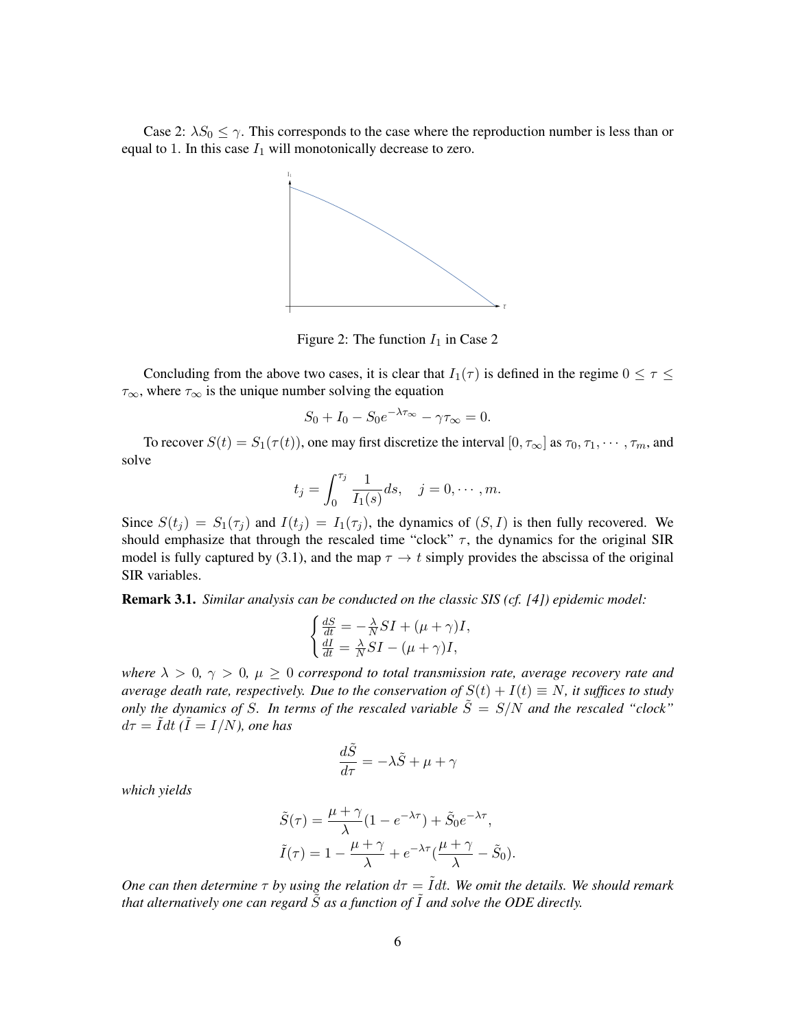Case 2:  $\lambda S_0 \leq \gamma$ . This corresponds to the case where the reproduction number is less than or equal to 1. In this case  $I_1$  will monotonically decrease to zero.



Figure 2: The function  $I_1$  in Case 2

Concluding from the above two cases, it is clear that  $I_1(\tau)$  is defined in the regime  $0 \leq \tau \leq$  $\tau_{\infty}$ , where  $\tau_{\infty}$  is the unique number solving the equation

$$
S_0 + I_0 - S_0 e^{-\lambda \tau_\infty} - \gamma \tau_\infty = 0.
$$

To recover  $S(t) = S_1(\tau(t))$ , one may first discretize the interval  $[0, \tau_{\infty}]$  as  $\tau_0, \tau_1, \dots, \tau_m$ , and solve

$$
t_j = \int_0^{\tau_j} \frac{1}{I_1(s)} ds, \quad j = 0, \cdots, m.
$$

Since  $S(t_j) = S_1(\tau_j)$  and  $I(t_j) = I_1(\tau_j)$ , the dynamics of  $(S, I)$  is then fully recovered. We should emphasize that through the rescaled time "clock"  $\tau$ , the dynamics for the original SIR model is fully captured by [\(3.1\)](#page-4-0), and the map  $\tau \to t$  simply provides the abscissa of the original SIR variables.

Remark 3.1. *Similar analysis can be conducted on the classic SIS (cf. [\[4\]](#page-20-14)) epidemic model:*

$$
\begin{cases} \frac{dS}{dt} = -\frac{\lambda}{N} SI + (\mu + \gamma)I, \\ \frac{dI}{dt} = \frac{\lambda}{N} SI - (\mu + \gamma)I, \end{cases}
$$

*where*  $\lambda > 0$ ,  $\gamma > 0$ ,  $\mu \geq 0$  *correspond to total transmission rate, average recovery rate and average death rate, respectively. Due to the conservation of*  $S(t) + I(t) \equiv N$ *, it suffices to study only the dynamics of* S. In terms of the rescaled variable  $\tilde{S} = S/N$  and the rescaled "clock"  $d\tau = \tilde{I} dt$  ( $\tilde{I} = I/N$ ), one has

$$
\frac{d\tilde{S}}{d\tau}=-\lambda\tilde{S}+\mu+\gamma
$$

*which yields*

$$
\tilde{S}(\tau) = \frac{\mu + \gamma}{\lambda} (1 - e^{-\lambda \tau}) + \tilde{S}_0 e^{-\lambda \tau},
$$

$$
\tilde{I}(\tau) = 1 - \frac{\mu + \gamma}{\lambda} + e^{-\lambda \tau} (\frac{\mu + \gamma}{\lambda} - \tilde{S}_0).
$$

*One can then determine*  $\tau$  *by using the relation*  $d\tau = \tilde{I}dt$ *. We omit the details. We should remark that alternatively one can regard*  $\tilde{S}$  *as a function of*  $\tilde{I}$  *and solve the ODE directly.*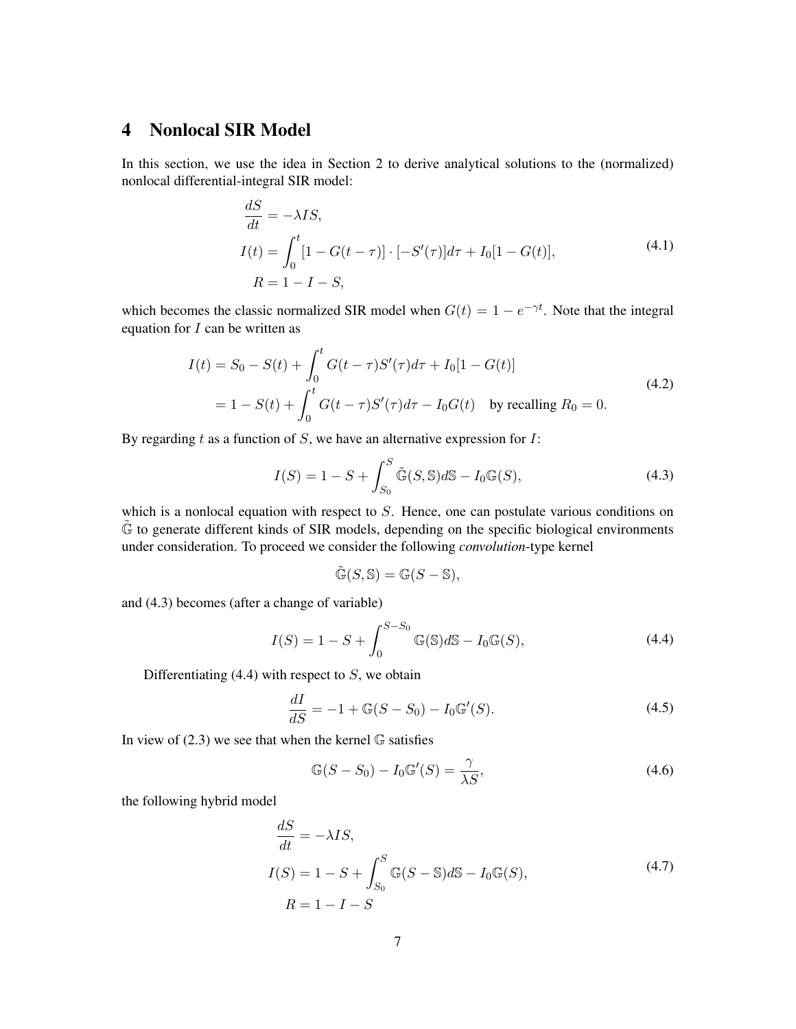# 4 Nonlocal SIR Model

In this section, we use the idea in Section [2](#page-3-5) to derive analytical solutions to the (normalized) nonlocal differential-integral SIR model:

<span id="page-6-3"></span>
$$
\frac{dS}{dt} = -\lambda IS,
$$
  
\n
$$
I(t) = \int_0^t [1 - G(t - \tau)] \cdot [-S'(\tau)] d\tau + I_0[1 - G(t)],
$$
  
\n
$$
R = 1 - I - S,
$$
\n(4.1)

which becomes the classic normalized SIR model when  $G(t) = 1 - e^{-\gamma t}$ . Note that the integral equation for  $I$  can be written as

$$
I(t) = S_0 - S(t) + \int_0^t G(t - \tau)S'(\tau)d\tau + I_0[1 - G(t)]
$$
  
= 1 - S(t) +  $\int_0^t G(t - \tau)S'(\tau)d\tau - I_0G(t)$  by recalling  $R_0 = 0$ . (4.2)

By regarding  $t$  as a function of  $S$ , we have an alternative expression for  $I$ :

<span id="page-6-0"></span>
$$
I(S) = 1 - S + \int_{S_0}^{S} \tilde{\mathbb{G}}(S, \mathbb{S}) d\mathbb{S} - I_0 \mathbb{G}(S), \tag{4.3}
$$

which is a nonlocal equation with respect to  $S$ . Hence, one can postulate various conditions on  $\tilde{\mathbb{G}}$  to generate different kinds of SIR models, depending on the specific biological environments under consideration. To proceed we consider the following *convolution*-type kernel

<span id="page-6-1"></span>
$$
\tilde{\mathbb{G}}(S,\mathbb{S})=\mathbb{G}(S-\mathbb{S}),
$$

and [\(4.3\)](#page-6-0) becomes (after a change of variable)

$$
I(S) = 1 - S + \int_0^{S-S_0} \mathbb{G}(\mathbb{S}) d\mathbb{S} - I_0 \mathbb{G}(S),
$$
 (4.4)

Differentiating  $(4.4)$  with respect to S, we obtain

$$
\frac{dI}{dS} = -1 + \mathbb{G}(S - S_0) - I_0 \mathbb{G}'(S). \tag{4.5}
$$

In view of  $(2.3)$  we see that when the kernel  $\mathbb G$  satisfies

$$
\mathbb{G}(S - S_0) - I_0 \mathbb{G}'(S) = \frac{\gamma}{\lambda S},\tag{4.6}
$$

the following hybrid model

<span id="page-6-2"></span>
$$
\frac{dS}{dt} = -\lambda IS,
$$
  
\n
$$
I(S) = 1 - S + \int_{S_0}^{S} \mathbb{G}(S - \mathbb{S})d\mathbb{S} - I_0 \mathbb{G}(S),
$$
  
\n
$$
R = 1 - I - S
$$
\n(4.7)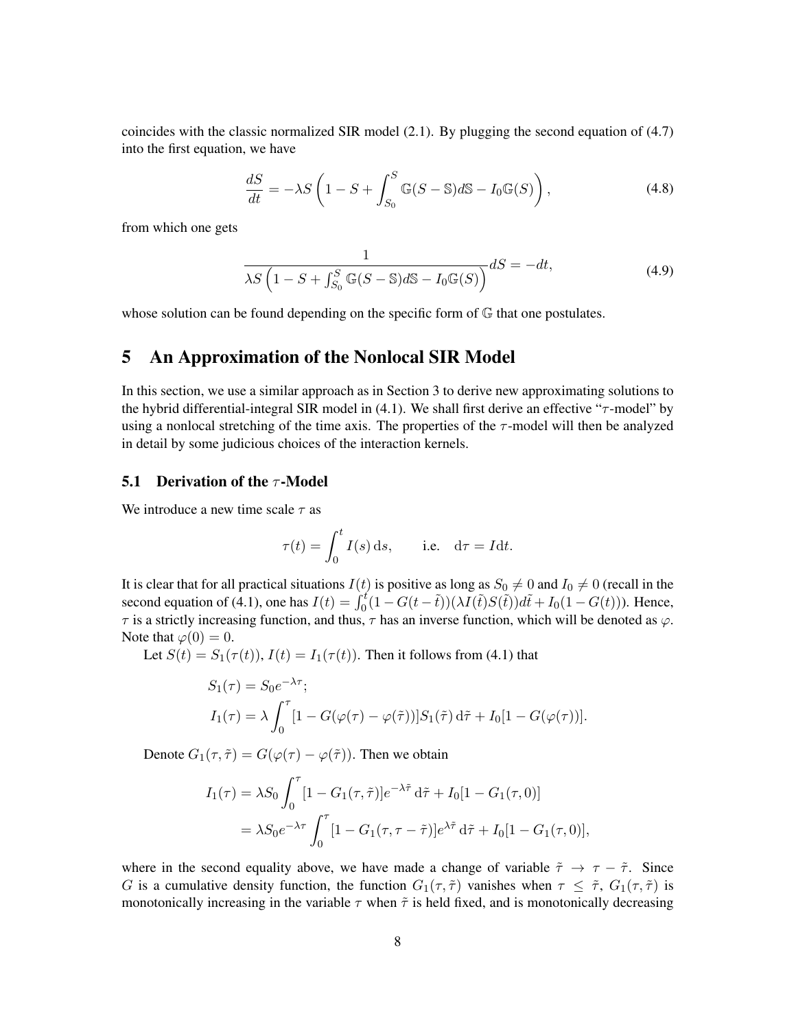coincides with the classic normalized SIR model [\(2.1\)](#page-3-0). By plugging the second equation of [\(4.7\)](#page-6-2) into the first equation, we have

$$
\frac{dS}{dt} = -\lambda S \left( 1 - S + \int_{S_0}^{S} \mathbb{G}(S - \mathbb{S}) d\mathbb{S} - I_0 \mathbb{G}(S) \right),\tag{4.8}
$$

from which one gets

$$
\frac{1}{\lambda S\left(1 - S + \int_{S_0}^{S} \mathbb{G}(S - \mathbb{S})d\mathbb{S} - I_0\mathbb{G}(S)\right)}dS = -dt,\tag{4.9}
$$

whose solution can be found depending on the specific form of  $\mathbb G$  that one postulates.

### 5 An Approximation of the Nonlocal SIR Model

In this section, we use a similar approach as in Section [3](#page-4-1) to derive new approximating solutions to the hybrid differential-integral SIR model in [\(4.1\)](#page-6-3). We shall first derive an effective "τ-model" by using a nonlocal stretching of the time axis. The properties of the  $\tau$ -model will then be analyzed in detail by some judicious choices of the interaction kernels.

### **5.1 Derivation of the**  $\tau$ **-Model**

We introduce a new time scale  $\tau$  as

$$
\tau(t) = \int_0^t I(s) \, \mathrm{d}s, \qquad \text{i.e.} \quad \mathrm{d}\tau = I \, \mathrm{d}t.
$$

It is clear that for all practical situations  $I(t)$  is positive as long as  $S_0 \neq 0$  and  $I_0 \neq 0$  (recall in the second equation of [\(4.1\)](#page-6-3), one has  $I(t) = \int_0^t (1 - G(t - \tilde{t})) (\lambda I(\tilde{t}) S(\tilde{t})) d\tilde{t} + I_0(1 - G(t))$ . Hence,  $\tau$  is a strictly increasing function, and thus,  $\tau$  has an inverse function, which will be denoted as  $\varphi$ . Note that  $\varphi(0) = 0$ .

Let  $S(t) = S_1(\tau(t))$ ,  $I(t) = I_1(\tau(t))$ . Then it follows from [\(4.1\)](#page-6-3) that

$$
S_1(\tau) = S_0 e^{-\lambda \tau};
$$
  
\n
$$
I_1(\tau) = \lambda \int_0^{\tau} [1 - G(\varphi(\tau) - \varphi(\tilde{\tau}))] S_1(\tilde{\tau}) d\tilde{\tau} + I_0[1 - G(\varphi(\tau))].
$$

Denote  $G_1(\tau, \tilde{\tau}) = G(\varphi(\tau) - \varphi(\tilde{\tau}))$ . Then we obtain

$$
I_1(\tau) = \lambda S_0 \int_0^{\tau} [1 - G_1(\tau, \tilde{\tau})] e^{-\lambda \tilde{\tau}} d\tilde{\tau} + I_0 [1 - G_1(\tau, 0)]
$$
  
=  $\lambda S_0 e^{-\lambda \tau} \int_0^{\tau} [1 - G_1(\tau, \tau - \tilde{\tau})] e^{\lambda \tilde{\tau}} d\tilde{\tau} + I_0 [1 - G_1(\tau, 0)],$ 

where in the second equality above, we have made a change of variable  $\tilde{\tau} \to \tau - \tilde{\tau}$ . Since G is a cumulative density function, the function  $G_1(\tau, \tilde{\tau})$  vanishes when  $\tau \leq \tilde{\tau}$ ,  $G_1(\tau, \tilde{\tau})$  is monotonically increasing in the variable  $\tau$  when  $\tilde{\tau}$  is held fixed, and is monotonically decreasing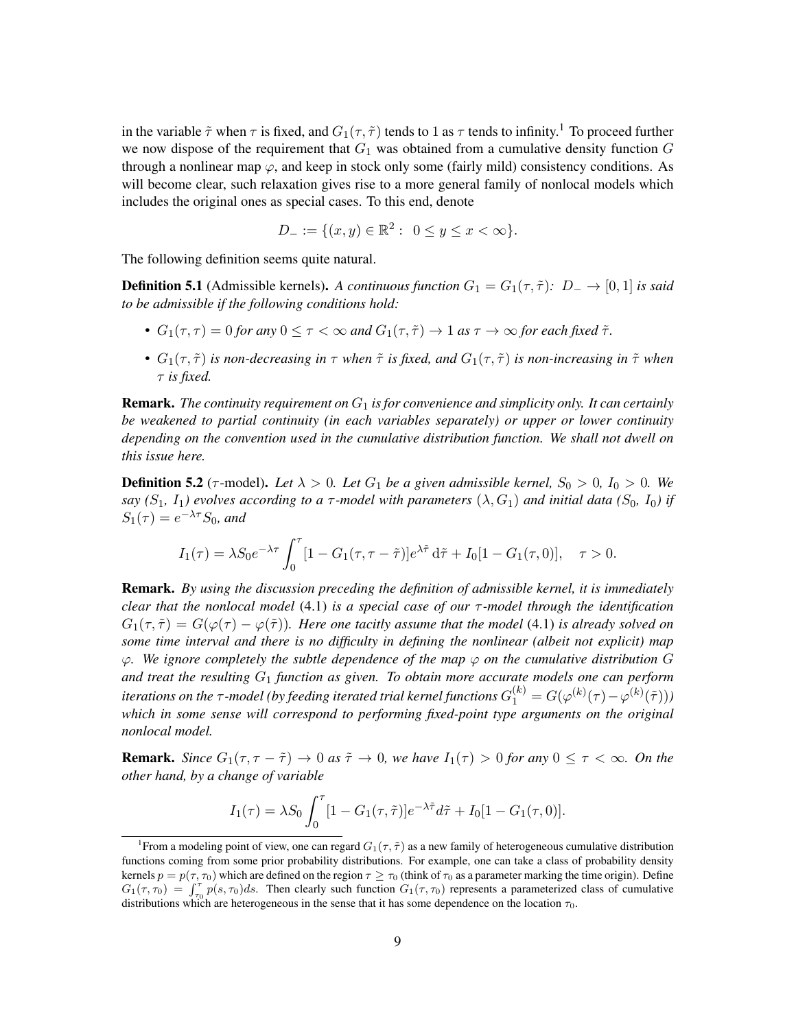in the variable  $\tilde{\tau}$  when  $\tau$  is fixed, and  $G_1(\tau, \tilde{\tau})$  $G_1(\tau, \tilde{\tau})$  $G_1(\tau, \tilde{\tau})$  tends to 1 as  $\tau$  tends to infinity.<sup>1</sup> To proceed further we now dispose of the requirement that  $G_1$  was obtained from a cumulative density function  $G$ through a nonlinear map  $\varphi$ , and keep in stock only some (fairly mild) consistency conditions. As will become clear, such relaxation gives rise to a more general family of nonlocal models which includes the original ones as special cases. To this end, denote

$$
D_- := \{ (x, y) \in \mathbb{R}^2 : \ 0 \le y \le x < \infty \}.
$$

The following definition seems quite natural.

**Definition 5.1** (Admissible kernels). *A continuous function*  $G_1 = G_1(\tau, \tilde{\tau})$ *:*  $D_- \rightarrow [0, 1]$  *is said to be admissible if the following conditions hold:*

- $G_1(\tau, \tau) = 0$  *for any*  $0 \le \tau < \infty$  *and*  $G_1(\tau, \tilde{\tau}) \to 1$  *as*  $\tau \to \infty$  *for each fixed*  $\tilde{\tau}$ *.*
- $G_1(\tau, \tilde{\tau})$  *is non-decreasing in*  $\tau$  *when*  $\tilde{\tau}$  *is fixed, and*  $G_1(\tau, \tilde{\tau})$  *is non-increasing in*  $\tilde{\tau}$  *when* τ *is fixed.*

**Remark.** The continuity requirement on  $G_1$  is for convenience and simplicity only. It can certainly *be weakened to partial continuity (in each variables separately) or upper or lower continuity depending on the convention used in the cumulative distribution function. We shall not dwell on this issue here.*

**Definition 5.2** ( $\tau$ -model). Let  $\lambda > 0$ . Let  $G_1$  be a given admissible kernel,  $S_0 > 0$ ,  $I_0 > 0$ . We *say* ( $S_1$ ,  $I_1$ ) evolves according to a  $\tau$ -model with parameters ( $\lambda$ ,  $G_1$ ) and initial data ( $S_0$ ,  $I_0$ ) if  $S_1(\tau) = e^{-\lambda \tau} S_0$ , and

$$
I_1(\tau) = \lambda S_0 e^{-\lambda \tau} \int_0^{\tau} [1 - G_1(\tau, \tau - \tilde{\tau})] e^{\lambda \tilde{\tau}} d\tilde{\tau} + I_0[1 - G_1(\tau, 0)], \quad \tau > 0.
$$

Remark. *By using the discussion preceding the definition of admissible kernel, it is immediately clear that the nonlocal model* [\(4.1\)](#page-6-3) *is a special case of our* τ *-model through the identification*  $G_1(\tau, \tilde{\tau}) = G(\varphi(\tau) - \varphi(\tilde{\tau}))$ . Here one tacitly assume that the model [\(4.1\)](#page-6-3) is already solved on *some time interval and there is no difficulty in defining the nonlinear (albeit not explicit) map* ϕ*. We ignore completely the subtle dependence of the map* ϕ *on the cumulative distribution* G and treat the resulting  $G_1$  *function as given. To obtain more accurate models one can perform* iterations on the  $\tau$ -model (by feeding iterated trial kernel functions  $G_1^{(k)}=G(\varphi^{(k)}(\tau)-\varphi^{(k)}(\tilde{\tau})))$ *which in some sense will correspond to performing fixed-point type arguments on the original nonlocal model.*

**Remark.** *Since*  $G_1(\tau, \tau - \tilde{\tau}) \to 0$  *as*  $\tilde{\tau} \to 0$ *, we have*  $I_1(\tau) > 0$  *for any*  $0 \le \tau < \infty$ *. On the other hand, by a change of variable*

$$
I_1(\tau) = \lambda S_0 \int_0^{\tau} [1 - G_1(\tau, \tilde{\tau})] e^{-\lambda \tilde{\tau}} d\tilde{\tau} + I_0 [1 - G_1(\tau, 0)].
$$

<span id="page-8-0"></span><sup>&</sup>lt;sup>1</sup> From a modeling point of view, one can regard  $G_1(\tau, \tilde{\tau})$  as a new family of heterogeneous cumulative distribution functions coming from some prior probability distributions. For example, one can take a class of probability density kernels  $p = p(\tau, \tau_0)$  which are defined on the region  $\tau \ge \tau_0$  (think of  $\tau_0$  as a parameter marking the time origin). Define  $G_1(\tau, \tau_0) = \int_{\tau_0}^{\tau} p(s, \tau_0) ds$ . Then clearly such function  $G_1(\tau, \tau_0)$  represents a parameterized class of cumulative distributions which are heterogeneous in the sense that it has some dependence on the location  $\tau_0$ .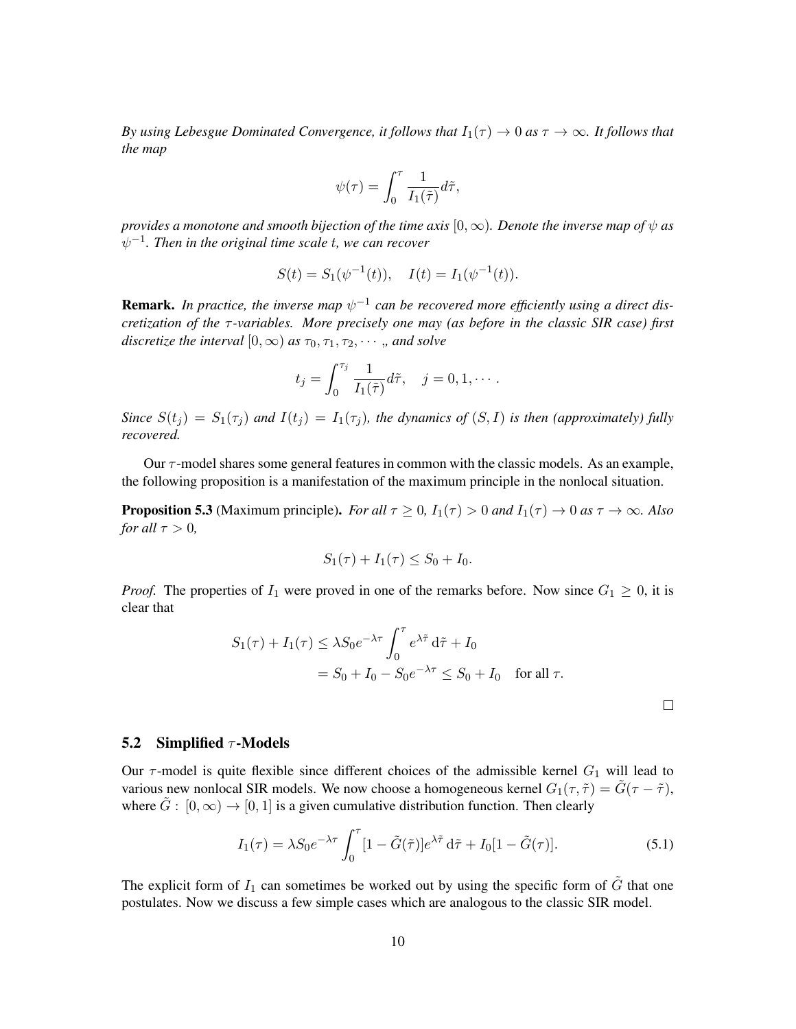*By using Lebesgue Dominated Convergence, it follows that*  $I_1(\tau) \to 0$  *as*  $\tau \to \infty$ *. It follows that the map*

$$
\psi(\tau) = \int_0^{\tau} \frac{1}{I_1(\tilde{\tau})} d\tilde{\tau},
$$

*provides a monotone and smooth bijection of the time axis*  $[0, \infty)$ *. Denote the inverse map of*  $\psi$  *as*  $\psi^{-1}.$  Then in the original time scale  $t,$  we can recover

$$
S(t) = S_1(\psi^{-1}(t)), \quad I(t) = I_1(\psi^{-1}(t)).
$$

**Remark.** In practice, the inverse map  $\psi^{-1}$  can be recovered more efficiently using a direct dis*cretization of the τ*-variables. More precisely one may (as before in the classic SIR case) first *discretize the interval*  $[0, \infty)$  *as*  $\tau_0, \tau_1, \tau_2, \cdots$ , *and solve* 

$$
t_j = \int_0^{\tau_j} \frac{1}{I_1(\tilde{\tau})} d\tilde{\tau}, \quad j = 0, 1, \cdots.
$$

*Since*  $S(t_j) = S_1(\tau_j)$  *and*  $I(t_j) = I_1(\tau_j)$ *, the dynamics of*  $(S, I)$  *is then (approximately) fully recovered.*

Our  $\tau$ -model shares some general features in common with the classic models. As an example, the following proposition is a manifestation of the maximum principle in the nonlocal situation.

**Proposition 5.3** (Maximum principle). *For all*  $\tau \ge 0$ ,  $I_1(\tau) > 0$  *and*  $I_1(\tau) \to 0$  *as*  $\tau \to \infty$ *. Also for all*  $\tau > 0$ *,* 

$$
S_1(\tau) + I_1(\tau) \le S_0 + I_0.
$$

*Proof.* The properties of  $I_1$  were proved in one of the remarks before. Now since  $G_1 \geq 0$ , it is clear that

$$
S_1(\tau) + I_1(\tau) \le \lambda S_0 e^{-\lambda \tau} \int_0^{\tau} e^{\lambda \tilde{\tau}} d\tilde{\tau} + I_0
$$
  
=  $S_0 + I_0 - S_0 e^{-\lambda \tau} \le S_0 + I_0 \quad \text{for all } \tau.$ 

<span id="page-9-0"></span>

#### 5.2 Simplified  $\tau$ -Models

Our  $\tau$ -model is quite flexible since different choices of the admissible kernel  $G_1$  will lead to various new nonlocal SIR models. We now choose a homogeneous kernel  $G_1(\tau, \tilde{\tau}) = \tilde{G}(\tau - \tilde{\tau})$ , where  $\tilde{G}$  :  $[0,\infty) \rightarrow [0,1]$  is a given cumulative distribution function. Then clearly

$$
I_1(\tau) = \lambda S_0 e^{-\lambda \tau} \int_0^{\tau} [1 - \tilde{G}(\tilde{\tau})] e^{\lambda \tilde{\tau}} d\tilde{\tau} + I_0 [1 - \tilde{G}(\tau)]. \tag{5.1}
$$

The explicit form of  $I_1$  can sometimes be worked out by using the specific form of  $\tilde{G}$  that one postulates. Now we discuss a few simple cases which are analogous to the classic SIR model.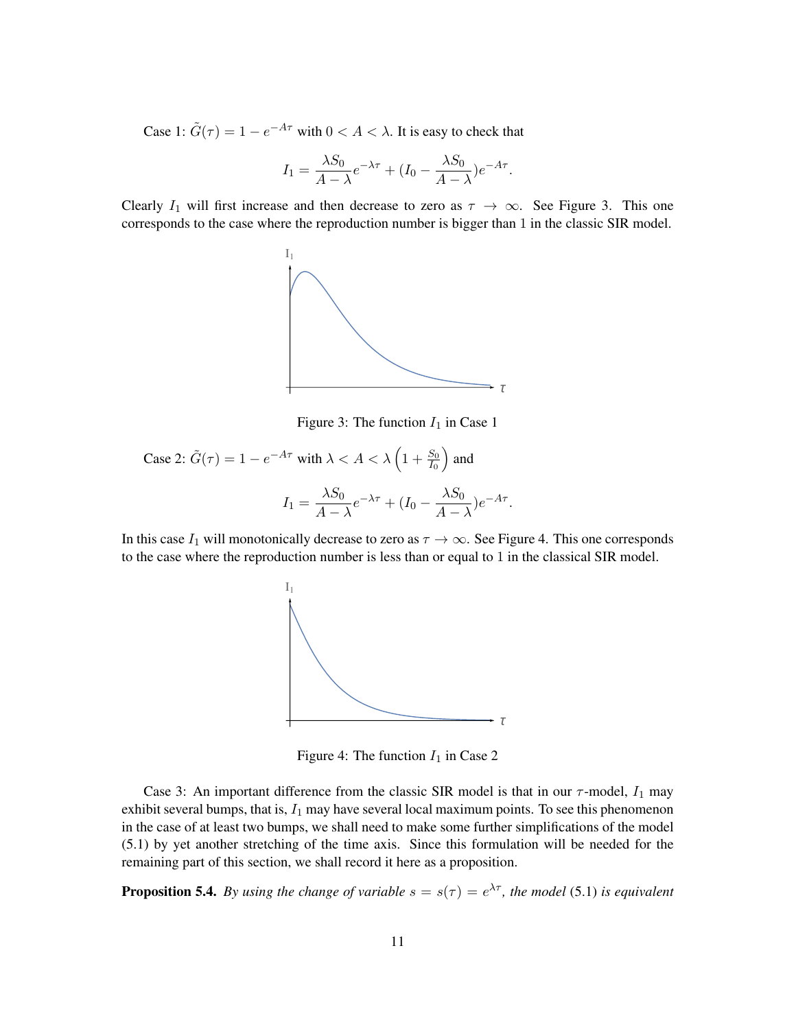Case 1:  $\tilde{G}(\tau) = 1 - e^{-A\tau}$  with  $0 < A < \lambda$ . It is easy to check that

$$
I_1 = \frac{\lambda S_0}{A - \lambda} e^{-\lambda \tau} + (I_0 - \frac{\lambda S_0}{A - \lambda}) e^{-A\tau}.
$$

Clearly  $I_1$  will first increase and then decrease to zero as  $\tau \to \infty$ . See Figure [3.](#page-10-0) This one corresponds to the case where the reproduction number is bigger than 1 in the classic SIR model.



<span id="page-10-0"></span>Figure 3: The function  $I_1$  in Case 1

Case 2: 
$$
\tilde{G}(\tau) = 1 - e^{-A\tau}
$$
 with  $\lambda < A < \lambda \left(1 + \frac{S_0}{I_0}\right)$  and  
\n
$$
I_1 = \frac{\lambda S_0}{A - \lambda} e^{-\lambda \tau} + (I_0 - \frac{\lambda S_0}{A - \lambda}) e^{-A\tau}.
$$

In this case  $I_1$  will monotonically decrease to zero as  $\tau \to \infty$ . See Figure [4.](#page-10-1) This one corresponds to the case where the reproduction number is less than or equal to 1 in the classical SIR model.



<span id="page-10-1"></span>Figure 4: The function  $I_1$  in Case 2

Case 3: An important difference from the classic SIR model is that in our  $\tau$ -model,  $I_1$  may exhibit several bumps, that is,  $I_1$  may have several local maximum points. To see this phenomenon in the case of at least two bumps, we shall need to make some further simplifications of the model [\(5.1\)](#page-9-0) by yet another stretching of the time axis. Since this formulation will be needed for the remaining part of this section, we shall record it here as a proposition.

**Proposition 5.4.** By using the change of variable  $s = s(\tau) = e^{\lambda \tau}$ , the model [\(5.1\)](#page-9-0) is equivalent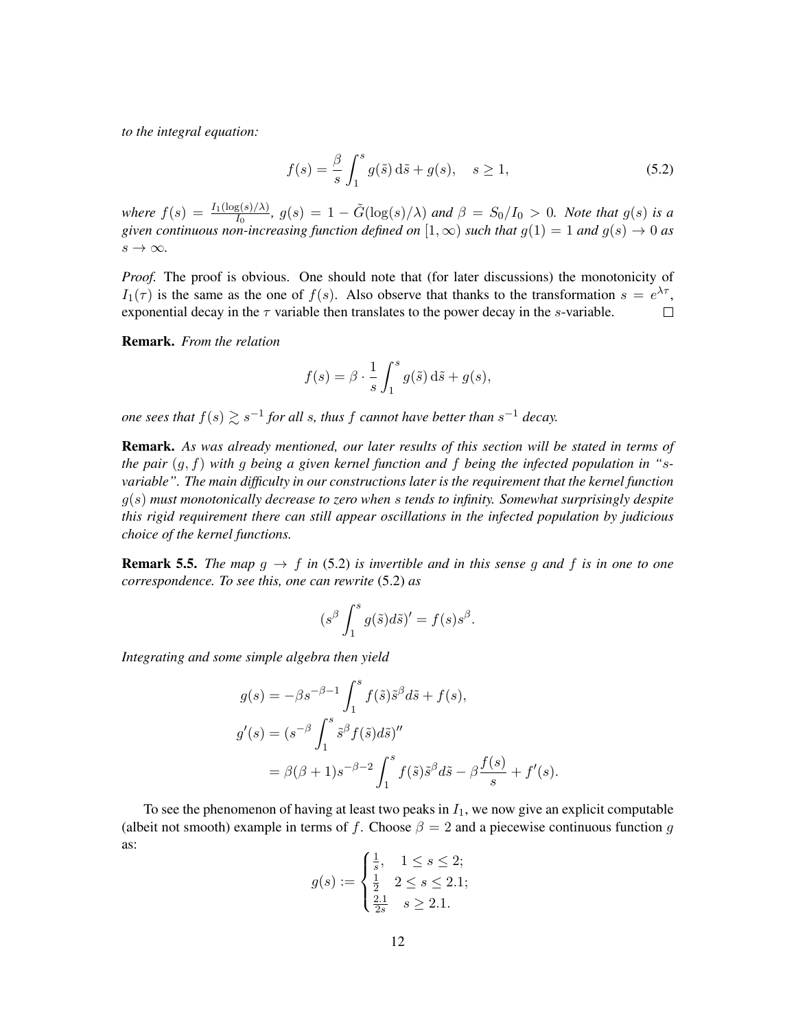*to the integral equation:*

<span id="page-11-0"></span>
$$
f(s) = \frac{\beta}{s} \int_1^s g(\tilde{s}) d\tilde{s} + g(s), \quad s \ge 1,
$$
\n(5.2)

*where*  $f(s) = \frac{I_1(\log(s)/\lambda)}{I_0}$ ,  $g(s) = 1 - \tilde{G}(\log(s)/\lambda)$  *and*  $\beta = S_0/I_0 > 0$ *. Note that*  $g(s)$  *is a given continuous non-increasing function defined on*  $[1,\infty)$  *such that*  $g(1) = 1$  *and*  $g(s) \rightarrow 0$  *as*  $s \rightarrow \infty$ .

*Proof.* The proof is obvious. One should note that (for later discussions) the monotonicity of  $I_1(\tau)$  is the same as the one of  $f(s)$ . Also observe that thanks to the transformation  $s = e^{\lambda \tau}$ , exponential decay in the  $\tau$  variable then translates to the power decay in the s-variable.  $\Box$ 

Remark. *From the relation*

$$
f(s) = \beta \cdot \frac{1}{s} \int_1^s g(\tilde{s}) \, d\tilde{s} + g(s),
$$

*one sees that*  $f(s) \gtrsim s^{-1}$  *for all s, thus*  $f$  *cannot have better than*  $s^{-1}$  *decay.* 

Remark. *As was already mentioned, our later results of this section will be stated in terms of the pair* (g, f) *with* g *being a given kernel function and* f *being the infected population in "*s*variable". The main difficulty in our constructions later is the requirement that the kernel function* g(s) *must monotonically decrease to zero when* s *tends to infinity. Somewhat surprisingly despite this rigid requirement there can still appear oscillations in the infected population by judicious choice of the kernel functions.*

<span id="page-11-1"></span>**Remark 5.5.** *The map*  $g \to f$  *in* [\(5.2\)](#page-11-0) *is invertible and in this sense g and* f *is in one to one correspondence. To see this, one can rewrite* [\(5.2\)](#page-11-0) *as*

$$
(s^{\beta} \int_1^s g(\tilde{s}) d\tilde{s})' = f(s) s^{\beta}.
$$

*Integrating and some simple algebra then yield*

$$
g(s) = -\beta s^{-\beta - 1} \int_1^s f(\tilde{s}) \tilde{s}^\beta d\tilde{s} + f(s),
$$
  
\n
$$
g'(s) = (s^{-\beta} \int_1^s \tilde{s}^\beta f(\tilde{s}) d\tilde{s})''
$$
  
\n
$$
= \beta(\beta + 1) s^{-\beta - 2} \int_1^s f(\tilde{s}) \tilde{s}^\beta d\tilde{s} - \beta \frac{f(s)}{s} + f'(s).
$$

To see the phenomenon of having at least two peaks in  $I_1$ , we now give an explicit computable (albeit not smooth) example in terms of f. Choose  $\beta = 2$  and a piecewise continuous function g as:

$$
g(s) := \begin{cases} \frac{1}{s}, & 1 \le s \le 2; \\ \frac{1}{2} & 2 \le s \le 2.1; \\ \frac{2.1}{2s} & s \ge 2.1. \end{cases}
$$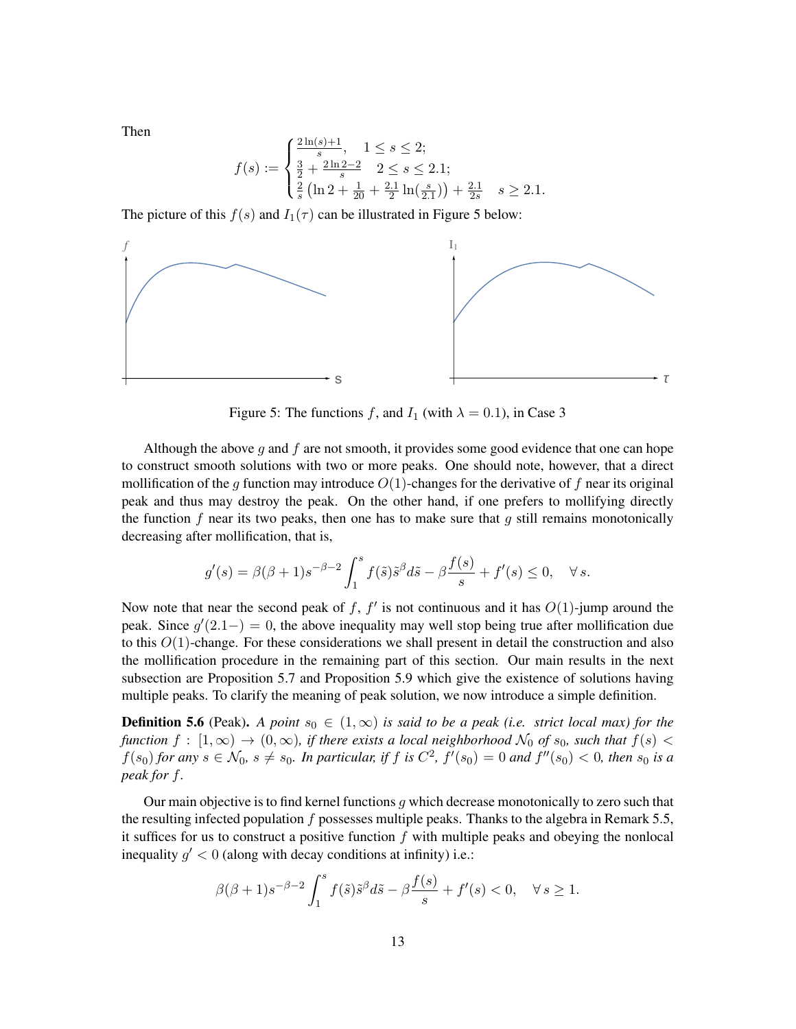Then

$$
f(s) := \begin{cases} \frac{2\ln(s)+1}{s}, & 1 \le s \le 2; \\ \frac{3}{2} + \frac{2\ln 2 - 2}{s} & 2 \le s \le 2.1; \\ \frac{2}{s} \left( \ln 2 + \frac{1}{20} + \frac{2.1}{2} \ln(\frac{s}{2.1}) \right) + \frac{2.1}{2s} & s \ge 2.1. \end{cases}
$$

The picture of this  $f(s)$  and  $I_1(\tau)$  can be illustrated in Figure [5](#page-12-0) below:



<span id="page-12-0"></span>Figure 5: The functions f, and  $I_1$  (with  $\lambda = 0.1$ ), in Case 3

Although the above  $q$  and  $f$  are not smooth, it provides some good evidence that one can hope to construct smooth solutions with two or more peaks. One should note, however, that a direct mollification of the q function may introduce  $O(1)$ -changes for the derivative of f near its original peak and thus may destroy the peak. On the other hand, if one prefers to mollifying directly the function  $f$  near its two peaks, then one has to make sure that  $g$  still remains monotonically decreasing after mollification, that is,

$$
g'(s) = \beta(\beta+1)s^{-\beta-2}\int_1^s f(\tilde{s})\tilde{s}^\beta d\tilde{s} - \beta\frac{f(s)}{s} + f'(s) \le 0, \quad \forall s.
$$

Now note that near the second peak of f,  $f'$  is not continuous and it has  $O(1)$ -jump around the peak. Since  $g'(2.1-) = 0$ , the above inequality may well stop being true after mollification due to this  $O(1)$ -change. For these considerations we shall present in detail the construction and also the mollification procedure in the remaining part of this section. Our main results in the next subsection are Proposition [5.7](#page-13-0) and Proposition [5.9](#page-17-0) which give the existence of solutions having multiple peaks. To clarify the meaning of peak solution, we now introduce a simple definition.

**Definition 5.6** (Peak). *A point*  $s_0 \in (1,\infty)$  *is said to be a peak (i.e. strict local max) for the function*  $f : [1, \infty) \to (0, \infty)$ *, if there exists a local neighborhood*  $\mathcal{N}_0$  *of*  $s_0$ *, such that*  $f(s)$  <  $f(s_0)$  for any  $s \in \mathcal{N}_0$ ,  $s \neq s_0$ . In particular, if f is  $C^2$ ,  $f'(s_0) = 0$  and  $f''(s_0) < 0$ , then  $s_0$  is a *peak for* f*.*

Our main objective is to find kernel functions  $q$  which decrease monotonically to zero such that the resulting infected population f possesses multiple peaks. Thanks to the algebra in Remark [5.5,](#page-11-1) it suffices for us to construct a positive function  $f$  with multiple peaks and obeying the nonlocal inequality  $g' < 0$  (along with decay conditions at infinity) i.e.:

$$
\beta(\beta+1)s^{-\beta-2}\int_1^s f(\tilde{s})\tilde{s}^\beta d\tilde{s} - \beta\frac{f(s)}{s} + f'(s) < 0, \quad \forall \, s \ge 1.
$$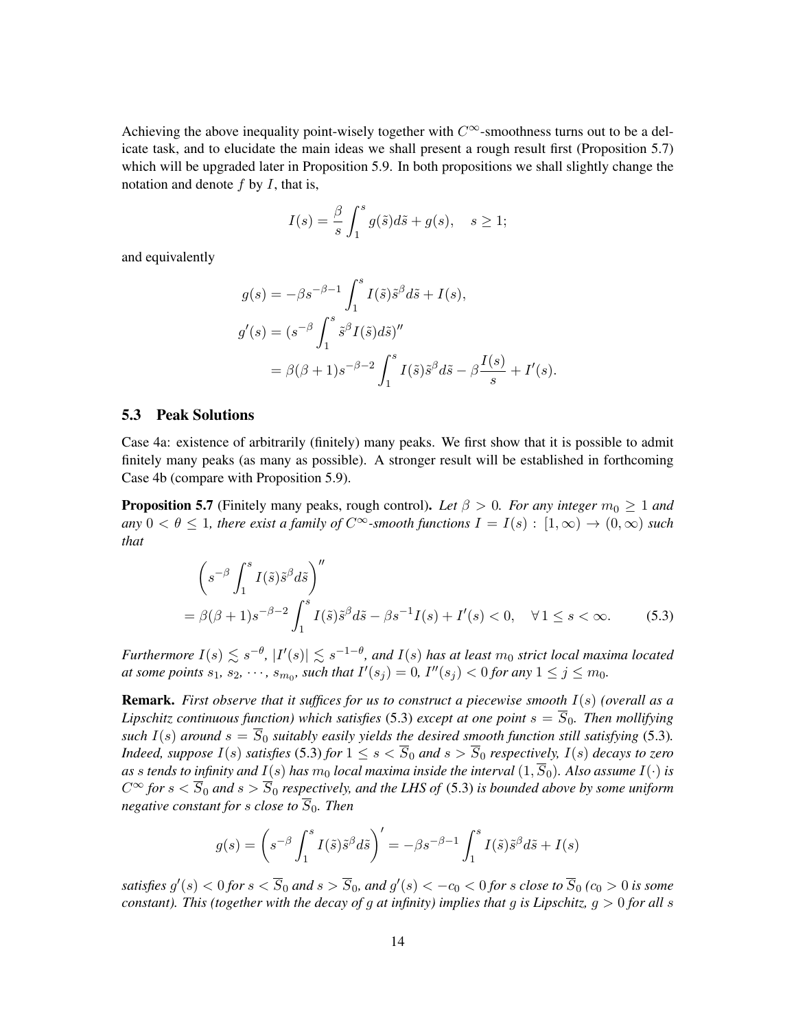Achieving the above inequality point-wisely together with  $C^{\infty}$ -smoothness turns out to be a delicate task, and to elucidate the main ideas we shall present a rough result first (Proposition [5.7\)](#page-13-0) which will be upgraded later in Proposition [5.9.](#page-17-0) In both propositions we shall slightly change the notation and denote  $f$  by  $I$ , that is,

$$
I(s) = \frac{\beta}{s} \int_1^s g(\tilde{s})d\tilde{s} + g(s), \quad s \ge 1;
$$

and equivalently

$$
g(s) = -\beta s^{-\beta - 1} \int_1^s I(\tilde{s}) \tilde{s}^\beta d\tilde{s} + I(s),
$$
  
\n
$$
g'(s) = (s^{-\beta} \int_1^s \tilde{s}^\beta I(\tilde{s}) d\tilde{s})''
$$
  
\n
$$
= \beta(\beta + 1) s^{-\beta - 2} \int_1^s I(\tilde{s}) \tilde{s}^\beta d\tilde{s} - \beta \frac{I(s)}{s} + I'(s).
$$

#### 5.3 Peak Solutions

Case 4a: existence of arbitrarily (finitely) many peaks. We first show that it is possible to admit finitely many peaks (as many as possible). A stronger result will be established in forthcoming Case 4b (compare with Proposition [5.9\)](#page-17-0).

<span id="page-13-0"></span>**Proposition 5.7** (Finitely many peaks, rough control). Let  $\beta > 0$ . For any integer  $m_0 \ge 1$  and  $\varphi(a) < \theta < 1$ , there exist a family of  $C^{\infty}$ -smooth functions  $I = I(s) : [1, \infty) \to (0, \infty)$  such *that*

<span id="page-13-1"></span>
$$
\left(s^{-\beta} \int_1^s I(\tilde{s}) \tilde{s}^\beta d\tilde{s}\right)''
$$
  
=  $\beta(\beta + 1) s^{-\beta - 2} \int_1^s I(\tilde{s}) \tilde{s}^\beta d\tilde{s} - \beta s^{-1} I(s) + I'(s) < 0, \quad \forall 1 \le s < \infty.$  (5.3)

 $Furthermore \ I(s) \lesssim s^{-\theta},\ |I'(s)| \lesssim s^{-1-\theta},$  and  $I(s)$  has at least  $m_0$  strict local maxima located *at some points*  $s_1, s_2, \dots, s_{m_0}$ , such that  $I'(s_j) = 0$ ,  $I''(s_j) < 0$  for any  $1 \leq j \leq m_0$ .

Remark. *First observe that it suffices for us to construct a piecewise smooth* I(s) *(overall as a Lipschitz continuous function) which satisfies* [\(5.3\)](#page-13-1) *except at one point*  $s = \overline{S}_0$ *. Then mollifying such*  $I(s)$  *around*  $s = \overline{S}_0$  *suitably easily yields the desired smooth function still satisfying* [\(5.3\)](#page-13-1). *Indeed, suppose*  $I(s)$  *satisfies* [\(5.3\)](#page-13-1) *for*  $1 \le s < \overline{S}_0$  *and*  $s > \overline{S}_0$  *respectively,*  $I(s)$  *decays to zero as s tends to infinity and*  $I(s)$  *has*  $m_0$  *<i>local maxima inside the interval*  $(1, \overline{S}_0)$ *. Also assume*  $I(\cdot)$  *is*  $C^{\infty}$  for  $s < \overline{S}_0$  and  $s > \overline{S}_0$  respectively, and the LHS of [\(5.3\)](#page-13-1) is bounded above by some uniform *negative constant for s close to*  $\overline{S}_0$ *. Then* 

$$
g(s) = \left(s^{-\beta} \int_1^s I(\tilde{s}) \tilde{s}^\beta d\tilde{s}\right)' = -\beta s^{-\beta - 1} \int_1^s I(\tilde{s}) \tilde{s}^\beta d\tilde{s} + I(s)
$$

satisfies  $g'(s) < 0$  for  $s < \overline{S}_0$  and  $s > \overline{S}_0$ , and  $g'(s) < -c_0 < 0$  for  $s$  close to  $\overline{S}_0$  ( $c_0 > 0$  is some *constant). This (together with the decay of* g *at infinity) implies that* g *is Lipschitz,* g > 0 *for all* s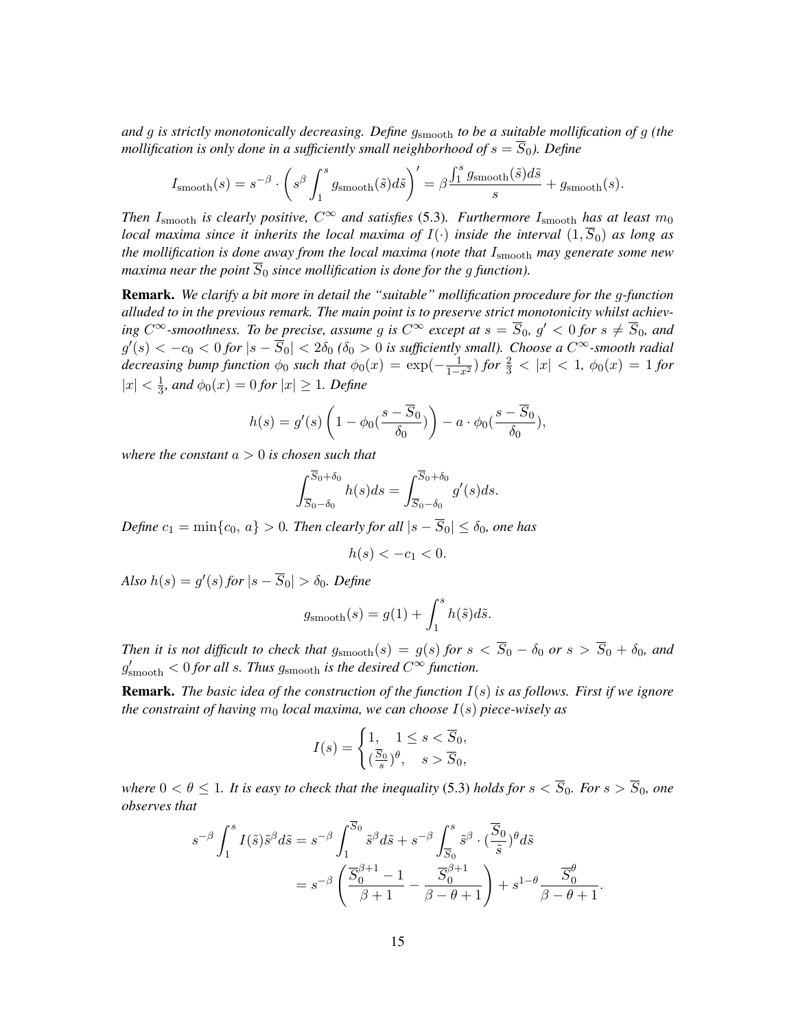*and* g *is strictly monotonically decreasing. Define* gsmooth *to be a suitable mollification of* g *(the mollification is only done in a sufficiently small neighborhood of*  $s = \overline{S}_0$ *). Define* 

$$
I_{\text{smooth}}(s) = s^{-\beta} \cdot \left( s^{\beta} \int_{1}^{s} g_{\text{smooth}}(\tilde{s}) d\tilde{s} \right)' = \beta \frac{\int_{1}^{s} g_{\text{smooth}}(\tilde{s}) d\tilde{s}}{s} + g_{\text{smooth}}(s).
$$

*Then*  $I_{\text{smooth}}$  *is clearly positive,*  $C^{\infty}$  *and satisfies* [\(5.3\)](#page-13-1)*. Furthermore*  $I_{\text{smooth}}$  *has at least*  $m_0$ *local maxima since it inherits the local maxima of*  $I(\cdot)$  *inside the interval*  $(1, \overline{S}_0)$  *as long as the mollification is done away from the local maxima (note that* Ismooth *may generate some new maxima near the point*  $\overline{S_0}$  *since mollification is done for the q function*).

Remark. *We clarify a bit more in detail the "suitable" mollification procedure for the* g*-function alluded to in the previous remark. The main point is to preserve strict monotonicity whilst achieving*  $C^{\infty}$ -smoothness. To be precise, assume g is  $C^{\infty}$  except at  $s = \overline{S}_0$ ,  $g' < 0$  for  $s \neq \overline{S}_0$ , and  $g'(s) < -c_0 < 0$  for  $|s - \overline{S}_0| < 2\delta_0$  ( $\delta_0 > 0$  is sufficiently small). Choose a  $C^{\infty}$ -smooth radial *decreasing bump function*  $\phi_0$  *such that*  $\phi_0(x) = \exp(-\frac{1}{1-x^2})$  *for*  $\frac{2}{3} < |x| < 1$ ,  $\phi_0(x) = 1$  *for*  $|x| < \frac{1}{3}$  $\frac{1}{3}$ *, and*  $\phi_0(x) = 0$  for  $|x| \ge 1$ *. Define* 

$$
h(s) = g'(s) \left( 1 - \phi_0 \left( \frac{s - \overline{S}_0}{\delta_0} \right) \right) - a \cdot \phi_0 \left( \frac{s - \overline{S}_0}{\delta_0} \right),
$$

*where the constant* a > 0 *is chosen such that*

$$
\int_{\overline{S}_0 - \delta_0}^{\overline{S}_0 + \delta_0} h(s) ds = \int_{\overline{S}_0 - \delta_0}^{\overline{S}_0 + \delta_0} g'(s) ds.
$$

*Define*  $c_1 = \min\{c_0, a\} > 0$ *. Then clearly for all*  $|s - \overline{S}_0| \le \delta_0$ *, one has* 

$$
h(s) < -c_1 < 0.
$$

 $Also h(s) = g'(s) for |s - \overline{S}_0| > \delta_0.$  Define

$$
g_{\text{smooth}}(s) = g(1) + \int_1^s h(\tilde{s})d\tilde{s}.
$$

*Then it is not difficult to check that*  $g_{\text{smooth}}(s) = g(s)$  *for*  $s < \overline{S}_0 - \delta_0$  *or*  $s > \overline{S}_0 + \delta_0$ *, and*  $g'_{\rm smooth} < 0$  for all s. Thus  $g_{\rm smooth}$  is the desired  $C^{\infty}$  function.

Remark. *The basic idea of the construction of the function* I(s) *is as follows. First if we ignore the constraint of having*  $m_0$  *local maxima, we can choose*  $I(s)$  *piece-wisely as* 

$$
I(s) = \begin{cases} 1, & 1 \le s < \overline{S}_0, \\ (\frac{\overline{S}_0}{s})^\theta, & s > \overline{S}_0, \end{cases}
$$

*where*  $0 < \theta \le 1$ *. It is easy to check that the inequality* [\(5.3\)](#page-13-1) *holds for*  $s < \overline{S}_0$ *. For*  $s > \overline{S}_0$ *, one observes that*

$$
s^{-\beta} \int_{1}^{s} I(\tilde{s}) \tilde{s}^{\beta} d\tilde{s} = s^{-\beta} \int_{1}^{\overline{S}_{0}} \tilde{s}^{\beta} d\tilde{s} + s^{-\beta} \int_{\overline{S}_{0}}^{s} \tilde{s}^{\beta} \cdot (\frac{\overline{S}_{0}}{\tilde{s}})^{\theta} d\tilde{s}
$$
  

$$
= s^{-\beta} \left( \frac{\overline{S}_{0}^{\beta+1} - 1}{\beta + 1} - \frac{\overline{S}_{0}^{\beta+1}}{\beta - \theta + 1} \right) + s^{1-\theta} \frac{\overline{S}_{0}^{\theta}}{\beta - \theta + 1}
$$

.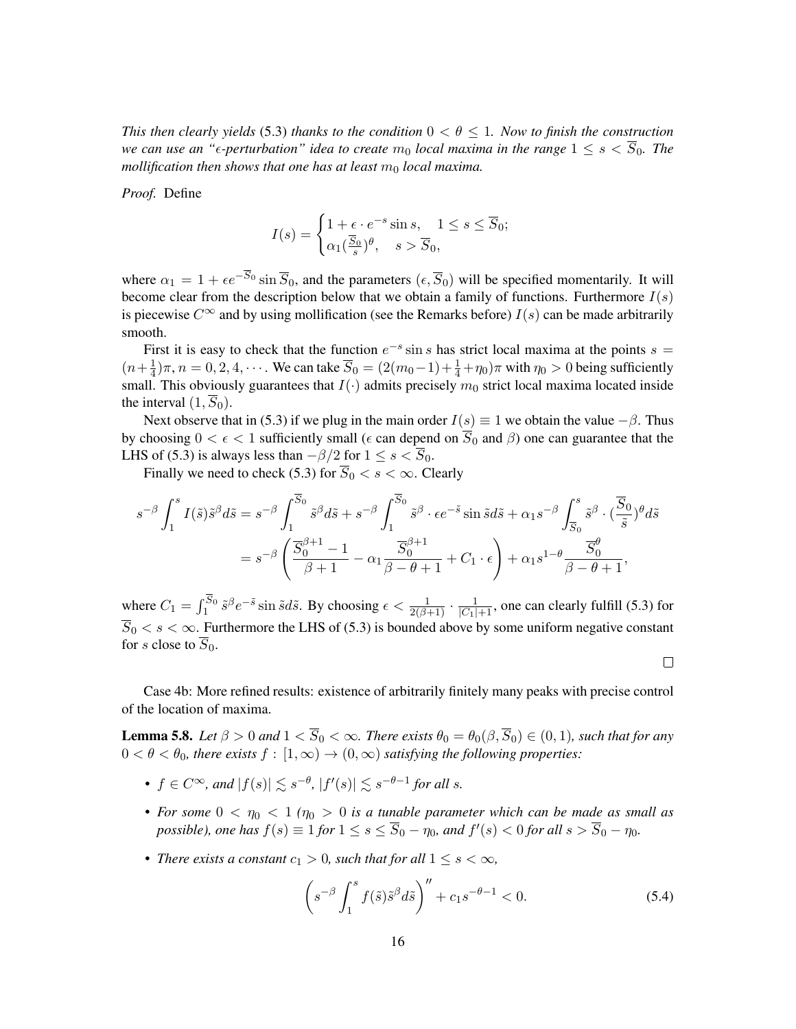*This then clearly yields* [\(5.3\)](#page-13-1) *thanks to the condition*  $0 < \theta \leq 1$ *. Now to finish the construction we can use an "* $\epsilon$ -perturbation" idea to create  $m_0$  *local maxima in the range*  $1 \leq s < \overline{S}_0$ . The *mollification then shows that one has at least*  $m_0$  *local maxima.* 

*Proof.* Define

$$
I(s) = \begin{cases} 1 + \epsilon \cdot e^{-s} \sin s, & 1 \le s \le \overline{S}_0; \\ \alpha_1(\frac{\overline{S}_0}{s})^{\theta}, & s > \overline{S}_0, \end{cases}
$$

where  $\alpha_1 = 1 + \epsilon e^{-\overline{S}_0} \sin \overline{S}_0$ , and the parameters  $(\epsilon, \overline{S}_0)$  will be specified momentarily. It will become clear from the description below that we obtain a family of functions. Furthermore  $I(s)$ is piecewise  $C^{\infty}$  and by using mollification (see the Remarks before)  $I(s)$  can be made arbitrarily smooth.

First it is easy to check that the function  $e^{-s}$  sin s has strict local maxima at the points  $s =$  $(n+\frac{1}{4})$  $\frac{1}{4}$ ) $\pi$ ,  $n = 0, 2, 4, \cdots$ . We can take  $\overline{S}_0 = (2(m_0-1)+\frac{1}{4}+\eta_0)\pi$  with  $\eta_0 > 0$  being sufficiently small. This obviously guarantees that  $I(\cdot)$  admits precisely  $m_0$  strict local maxima located inside the interval  $(1, \overline{S}_0)$ .

Next observe that in [\(5.3\)](#page-13-1) if we plug in the main order  $I(s) \equiv 1$  we obtain the value  $-\beta$ . Thus by choosing  $0 < \epsilon < 1$  sufficiently small ( $\epsilon$  can depend on  $\overline{S}_0$  and  $\beta$ ) one can guarantee that the LHS of [\(5.3\)](#page-13-1) is always less than  $-\beta/2$  for  $1 \leq s < \overline{S}_0$ .

Finally we need to check [\(5.3\)](#page-13-1) for  $\overline{S}_0 < s < \infty$ . Clearly

$$
s^{-\beta} \int_{1}^{s} I(\tilde{s}) \tilde{s}^{\beta} d\tilde{s} = s^{-\beta} \int_{1}^{\overline{S}_{0}} \tilde{s}^{\beta} d\tilde{s} + s^{-\beta} \int_{1}^{\overline{S}_{0}} \tilde{s}^{\beta} \cdot \epsilon e^{-\tilde{s}} \sin \tilde{s} d\tilde{s} + \alpha_{1} s^{-\beta} \int_{\overline{S}_{0}}^{s} \tilde{s}^{\beta} \cdot (\frac{\overline{S}_{0}}{\tilde{s}})^{\theta} d\tilde{s}
$$

$$
= s^{-\beta} \left( \frac{\overline{S}_{0}^{\beta+1} - 1}{\beta + 1} - \alpha_{1} \frac{\overline{S}_{0}^{\beta+1}}{\beta - \theta + 1} + C_{1} \cdot \epsilon \right) + \alpha_{1} s^{1 - \theta} \frac{\overline{S}_{0}^{\theta}}{\beta - \theta + 1},
$$

where  $C_1 = \int_1^{S_0} \tilde{s}^{\beta} e^{-\tilde{s}} \sin \tilde{s} d\tilde{s}$ . By choosing  $\epsilon < \frac{1}{2(\beta+1)} \cdot \frac{1}{|C_1|+1}$ , one can clearly fulfill [\(5.3\)](#page-13-1) for  $\overline{S}_0 < s < \infty$ . Furthermore the LHS of [\(5.3\)](#page-13-1) is bounded above by some uniform negative constant for s close to  $\overline{S}_0$ .

Case 4b: More refined results: existence of arbitrarily finitely many peaks with precise control of the location of maxima.

<span id="page-15-1"></span>**Lemma 5.8.** *Let*  $\beta > 0$  *and*  $1 < \overline{S}_0 < \infty$ *. There exists*  $\theta_0 = \theta_0(\beta, \overline{S}_0) \in (0, 1)$ *, such that for any*  $0 < \theta < \theta_0$ , there exists  $f : [1, \infty) \to (0, \infty)$  satisfying the following properties:

- $f \in C^{\infty}$ , and  $|f(s)| \lesssim s^{-\theta}$ ,  $|f'(s)| \lesssim s^{-\theta-1}$  for all s.
- For some  $0 < \eta_0 < 1$  ( $\eta_0 > 0$  is a tunable parameter which can be made as small as *possible), one has*  $f(s) \equiv 1$  *for*  $1 \le s \le \overline{S}_0 - \eta_0$ *, and*  $f'(s) < 0$  *for all*  $s > \overline{S}_0 - \eta_0$ *.*
- *There exists a constant*  $c_1 > 0$ *, such that for all*  $1 \leq s < \infty$ *,*

$$
\left(s^{-\beta}\int_1^s f(\tilde{s})\tilde{s}^\beta d\tilde{s}\right)'' + c_1s^{-\theta - 1} < 0. \tag{5.4}
$$

<span id="page-15-0"></span> $\Box$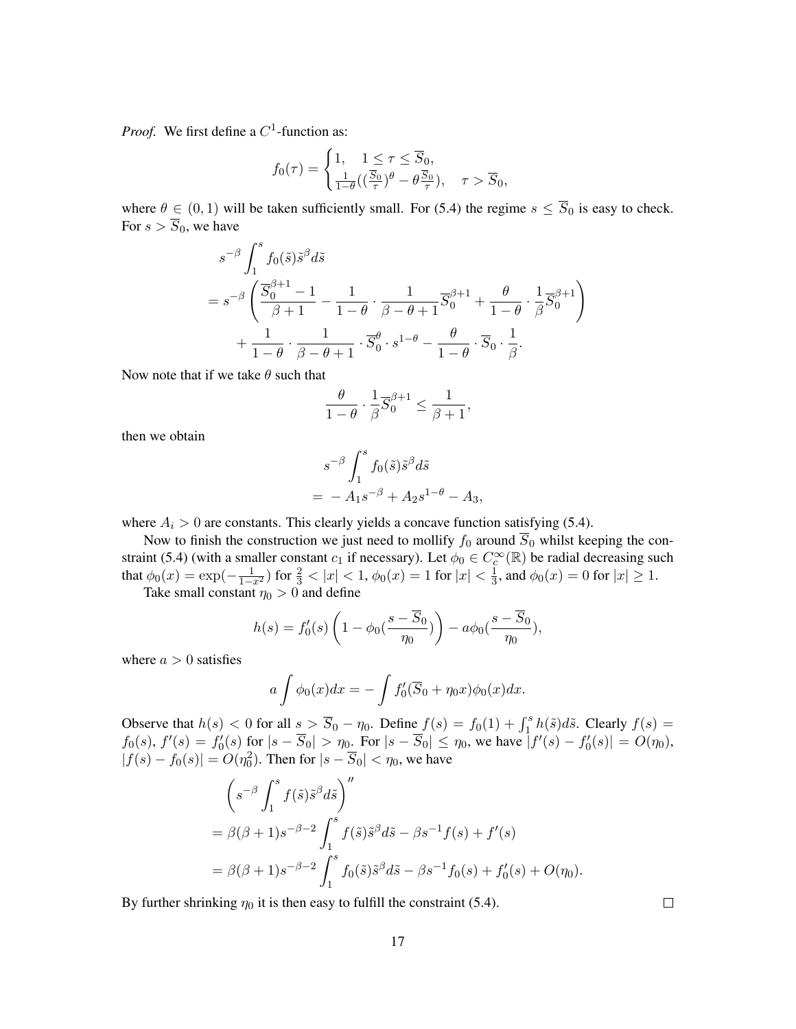*Proof.* We first define a  $C^1$ -function as:

$$
f_0(\tau) = \begin{cases} 1, & 1 \le \tau \le \overline{S}_0, \\ \frac{1}{1-\theta}((\frac{\overline{S}_0}{\tau})^{\theta} - \theta \frac{\overline{S}_0}{\tau}), & \tau > \overline{S}_0, \end{cases}
$$

where  $\theta \in (0, 1)$  will be taken sufficiently small. For [\(5.4\)](#page-15-0) the regime  $s \leq \overline{S}_0$  is easy to check. For  $s > \overline{S}_0$ , we have

$$
s^{-\beta} \int_{1}^{s} f_{0}(\tilde{s}) \tilde{s}^{\beta} d\tilde{s}
$$
  
=  $s^{-\beta} \left( \frac{\overline{S}_{0}^{\beta+1} - 1}{\beta+1} - \frac{1}{1-\theta} \cdot \frac{1}{\beta-\theta+1} \overline{S}_{0}^{\beta+1} + \frac{\theta}{1-\theta} \cdot \frac{1}{\beta} \overline{S}_{0}^{\beta+1} \right)$   
+  $\frac{1}{1-\theta} \cdot \frac{1}{\beta-\theta+1} \cdot \overline{S}_{0}^{\theta} \cdot s^{1-\theta} - \frac{\theta}{1-\theta} \cdot \overline{S}_{0} \cdot \frac{1}{\beta}.$ 

Now note that if we take  $\theta$  such that

$$
\frac{\theta}{1-\theta} \cdot \frac{1}{\beta} \overline{S}_0^{\beta+1} \le \frac{1}{\beta+1},
$$

then we obtain

$$
s^{-\beta} \int_1^s f_0(\tilde{s}) \tilde{s}^{\beta} d\tilde{s}
$$
  
=  $-A_1 s^{-\beta} + A_2 s^{1-\theta} - A_3$ ,

where  $A_i > 0$  are constants. This clearly yields a concave function satisfying [\(5.4\)](#page-15-0).

Now to finish the construction we just need to mollify  $f_0$  around  $\overline{S}_0$  whilst keeping the con-straint [\(5.4\)](#page-15-0) (with a smaller constant  $c_1$  if necessary). Let  $\phi_0 \in C_c^{\infty}(\mathbb{R})$  be radial decreasing such that  $\phi_0(x) = \exp(-\frac{1}{1-x^2})$  for  $\frac{2}{3} < |x| < 1$ ,  $\phi_0(x) = 1$  for  $|x| < \frac{1}{3}$  $\frac{1}{3}$ , and  $\phi_0(x) = 0$  for  $|x| \ge 1$ .

Take small constant  $\eta_0 > 0$  and define

$$
h(s) = f_0'(s) \left( 1 - \phi_0(\frac{s - \overline{S}_0}{\eta_0}) \right) - a\phi_0(\frac{s - \overline{S}_0}{\eta_0}),
$$

where  $a > 0$  satisfies

$$
a \int \phi_0(x) dx = - \int f'_0(\overline{S}_0 + \eta_0 x) \phi_0(x) dx.
$$

Observe that  $h(s) < 0$  for all  $s > \overline{S}_0 - \eta_0$ . Define  $f(s) = f_0(1) + \int_1^s h(\tilde{s}) d\tilde{s}$ . Clearly  $f(s) =$  $f_0(s)$ ,  $f'(s) = f'_0(s)$  for  $|s - \overline{S}_0| > \eta_0$ . For  $|s - \overline{S}_0| \leq \eta_0$ , we have  $|f'(s) - f'_0(s)| = O(\eta_0)$ ,  $|f(s) - f_0(s)| = O(\eta_0^2)$ . Then for  $|s - \overline{S}_0| < \eta_0$ , we have

$$
\left(s^{-\beta}\int_{1}^{s}f(\tilde{s})\tilde{s}^{\beta}d\tilde{s}\right)^{''}
$$
  
=  $\beta(\beta+1)s^{-\beta-2}\int_{1}^{s}f(\tilde{s})\tilde{s}^{\beta}d\tilde{s} - \beta s^{-1}f(s) + f'(s)$   
=  $\beta(\beta+1)s^{-\beta-2}\int_{1}^{s}f_{0}(\tilde{s})\tilde{s}^{\beta}d\tilde{s} - \beta s^{-1}f_{0}(s) + f'_{0}(s) + O(\eta_{0}).$ 

By further shrinking  $\eta_0$  it is then easy to fulfill the constraint [\(5.4\)](#page-15-0).

 $\Box$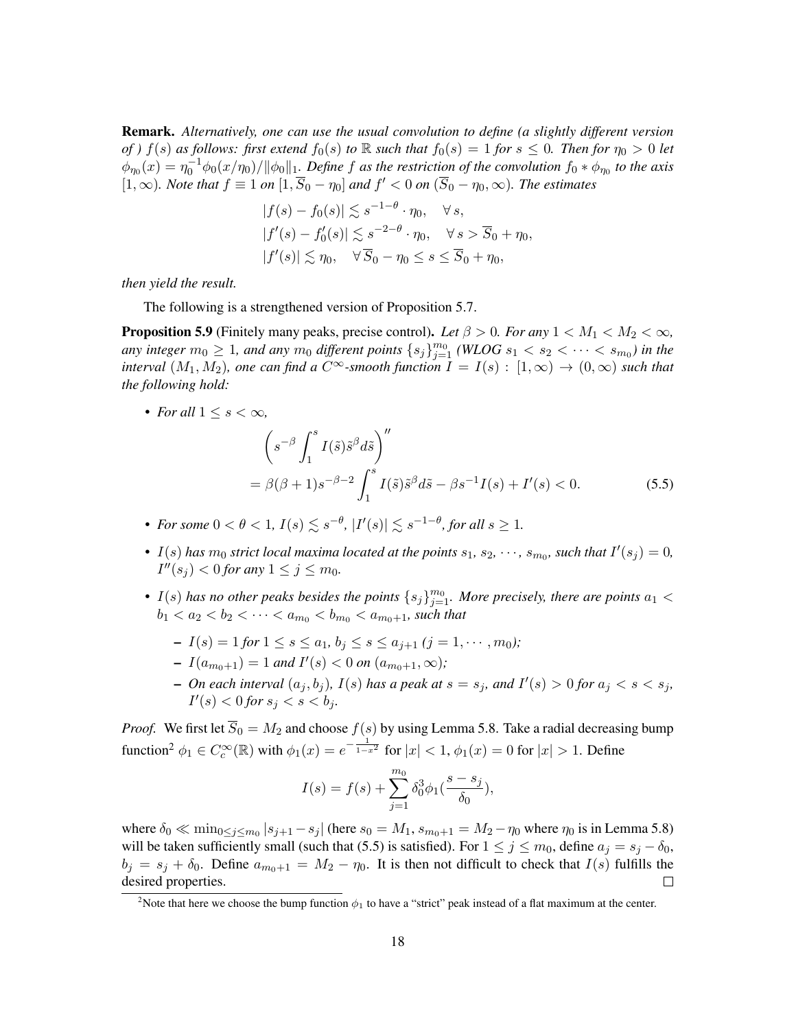Remark. *Alternatively, one can use the usual convolution to define (a slightly different version of* )  $f(s)$  *as follows: first extend*  $f_0(s)$  *to* R *such that*  $f_0(s) = 1$  *for*  $s \le 0$ *. Then for*  $\eta_0 > 0$  *let*  $\phi_{\eta_0}(x)=\eta_0^{-1}\phi_0(x/\eta_0)/\|\phi_0\|_1$ . Define f as the restriction of the convolution  $f_0*\phi_{\eta_0}$  to the axis  $[1, ∞)$ *. Note that*  $f \equiv 1$  *on*  $[1, \overline{S}_0 - \eta_0]$  *and*  $f' < 0$  *on*  $(\overline{S}_0 - \eta_0, ∞)$ *. The estimates* 

$$
|f(s) - f_0(s)| \lesssim s^{-1-\theta} \cdot \eta_0, \quad \forall s,
$$
  

$$
|f'(s) - f'_0(s)| \lesssim s^{-2-\theta} \cdot \eta_0, \quad \forall s > \overline{S}_0 + \eta_0,
$$
  

$$
|f'(s)| \lesssim \eta_0, \quad \forall \overline{S}_0 - \eta_0 \le s \le \overline{S}_0 + \eta_0,
$$

*then yield the result.*

The following is a strengthened version of Proposition [5.7.](#page-13-0)

<span id="page-17-0"></span>**Proposition 5.9** (Finitely many peaks, precise control). Let  $\beta > 0$ . For any  $1 < M_1 < M_2 < \infty$ , *any integer*  $m_0 \geq 1$ *, and any*  $m_0$  *different points*  $\{s_j\}_{j=1}^{m_0}$  *(WLOG*  $s_1 < s_2 < \cdots < s_{m_0}$ ) in the *interval*  $(M_1, M_2)$ *, one can find a*  $C^{\infty}$ -smooth function  $I = I(s) : [1, \infty) \to (0, \infty)$  such that *the following hold:*

• *For all*  $1 \leq s < \infty$ *,* 

<span id="page-17-2"></span>
$$
\left(s^{-\beta}\int_{1}^{s}I(\tilde{s})\tilde{s}^{\beta}d\tilde{s}\right)^{\prime\prime}
$$
  
=  $\beta(\beta+1)s^{-\beta-2}\int_{1}^{s}I(\tilde{s})\tilde{s}^{\beta}d\tilde{s}-\beta s^{-1}I(s)+I^{\prime}(s)<0.$  (5.5)

- For some  $0 < \theta < 1$ ,  $I(s) \lesssim s^{-\theta}$ ,  $|I'(s)| \lesssim s^{-1-\theta}$ , for all  $s \geq 1$ .
- $I(s)$  has  $m_0$  strict local maxima located at the points  $s_1, s_2, \dots, s_{m_0}$ , such that  $I'(s_j) = 0$ ,  $I''(s_j) < 0$  for any  $1 \le j \le m_0$ .
- $I(s)$  has no other peaks besides the points  $\{s_j\}_{j=1}^{m_0}$ . More precisely, there are points  $a_1 <$  $b_1 < a_2 < b_2 < \cdots < a_{m_0} < b_{m_0} < a_{m_0+1}$ , such that
	- $-I(s) = 1$  *for*  $1 \le s \le a_1, b_i \le s \le a_{i+1}$  *(i = 1, ..., m<sub>0</sub>)*;
	- $-I(a_{m_0+1}) = 1$  and  $I'(s) < 0$  on  $(a_{m_0+1}, \infty)$ ;
	- $\sim$  *On each interval*  $(a_j, b_j)$ ,  $I(s)$  *has a peak at*  $s = s_j$ *, and*  $I'(s) > 0$  *for*  $a_j < s < s_j$ *,*  $I'(s) < 0$  for  $s_j < s < b_j$ .

*Proof.* We first let  $\overline{S}_0 = M_2$  and choose  $f(s)$  by using Lemma [5.8.](#page-15-1) Take a radial decreasing bump function<sup>[2](#page-17-1)</sup>  $\phi_1 \in C_c^{\infty}(\mathbb{R})$  with  $\phi_1(x) = e^{-\frac{1}{1-x^2}}$  for  $|x| < 1$ ,  $\phi_1(x) = 0$  for  $|x| > 1$ . Define

$$
I(s) = f(s) + \sum_{j=1}^{m_0} \delta_0^3 \phi_1(\frac{s - s_j}{\delta_0}),
$$

where  $\delta_0 \ll \min_{0 \le j \le m_0} |s_{j+1} - s_j|$  (here  $s_0 = M_1$ ,  $s_{m_0+1} = M_2 - \eta_0$  where  $\eta_0$  is in Lemma [5.8\)](#page-15-1) will be taken sufficiently small (such that [\(5.5\)](#page-17-2) is satisfied). For  $1 \le j \le m_0$ , define  $a_j = s_j - \delta_0$ ,  $b_i = s_i + \delta_0$ . Define  $a_{m_0+1} = M_2 - \eta_0$ . It is then not difficult to check that  $I(s)$  fulfills the desired properties.  $\Box$ 

<span id="page-17-1"></span><sup>&</sup>lt;sup>2</sup>Note that here we choose the bump function  $\phi_1$  to have a "strict" peak instead of a flat maximum at the center.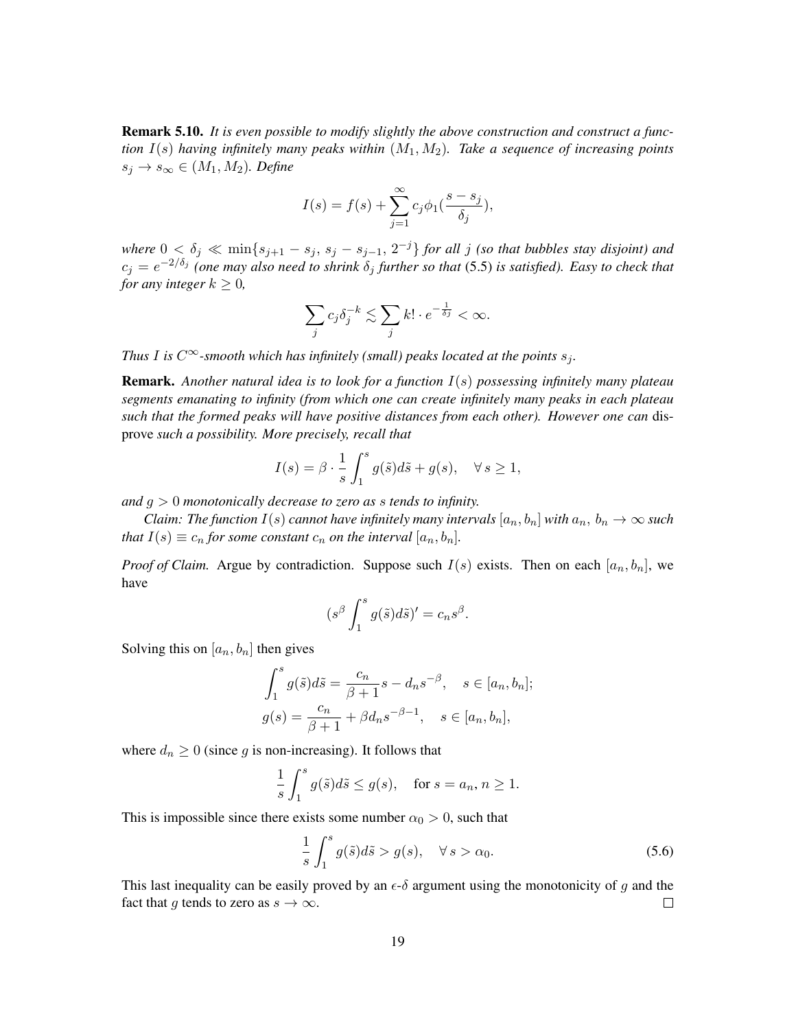<span id="page-18-0"></span>Remark 5.10. *It is even possible to modify slightly the above construction and construct a function* I(s) *having infinitely many peaks within* (M1, M2)*. Take a sequence of increasing points*  $s_j \to s_\infty \in (M_1, M_2)$ *. Define* 

$$
I(s) = f(s) + \sum_{j=1}^{\infty} c_j \phi_1(\frac{s - s_j}{\delta_j}),
$$

where  $0 < \delta_j \ll \min\{s_{j+1} - s_j, s_j - s_{j-1}, 2^{-j}\}$  for all j *(so that bubbles stay disjoint) and*  $c_j = e^{-2/\delta_j}$  (one may also need to shrink  $\delta_j$  further so that [\(5.5\)](#page-17-2) is satisfied). Easy to check that *for any integer*  $k \geq 0$ *,* 

$$
\sum_j c_j \delta_j^{-k} \lesssim \sum_j k! \cdot e^{-\frac{1}{\delta j}} < \infty.
$$

*Thus I* is  $C^{\infty}$ -smooth which has infinitely (small) peaks located at the points  $s_i$ .

Remark. *Another natural idea is to look for a function* I(s) *possessing infinitely many plateau segments emanating to infinity (from which one can create infinitely many peaks in each plateau such that the formed peaks will have positive distances from each other). However one can* disprove *such a possibility. More precisely, recall that*

$$
I(s) = \beta \cdot \frac{1}{s} \int_1^s g(\tilde{s}) d\tilde{s} + g(s), \quad \forall s \ge 1,
$$

*and* g > 0 *monotonically decrease to zero as* s *tends to infinity.*

*Claim: The function*  $I(s)$  *cannot have infinitely many intervals*  $[a_n, b_n]$  *with*  $a_n, b_n \to \infty$  *such that*  $I(s) \equiv c_n$  *for some constant*  $c_n$  *on the interval*  $[a_n, b_n]$ *.* 

*Proof of Claim.* Argue by contradiction. Suppose such  $I(s)$  exists. Then on each  $[a_n, b_n]$ , we have

$$
(s^{\beta} \int_1^s g(\tilde{s}) d\tilde{s})' = c_n s^{\beta}.
$$

Solving this on  $[a_n, b_n]$  then gives

$$
\int_{1}^{s} g(\tilde{s})d\tilde{s} = \frac{c_n}{\beta + 1} s - d_n s^{-\beta}, \quad s \in [a_n, b_n];
$$
  

$$
g(s) = \frac{c_n}{\beta + 1} + \beta d_n s^{-\beta - 1}, \quad s \in [a_n, b_n],
$$

where  $d_n \geq 0$  (since g is non-increasing). It follows that

$$
\frac{1}{s} \int_1^s g(\tilde{s}) d\tilde{s} \le g(s), \quad \text{for } s = a_n, n \ge 1.
$$

This is impossible since there exists some number  $\alpha_0 > 0$ , such that

<span id="page-18-1"></span>
$$
\frac{1}{s} \int_{1}^{s} g(\tilde{s}) d\tilde{s} > g(s), \quad \forall s > \alpha_0.
$$
\n(5.6)

This last inequality can be easily proved by an  $\epsilon$ - $\delta$  argument using the monotonicity of g and the fact that g tends to zero as  $s \to \infty$ .  $\Box$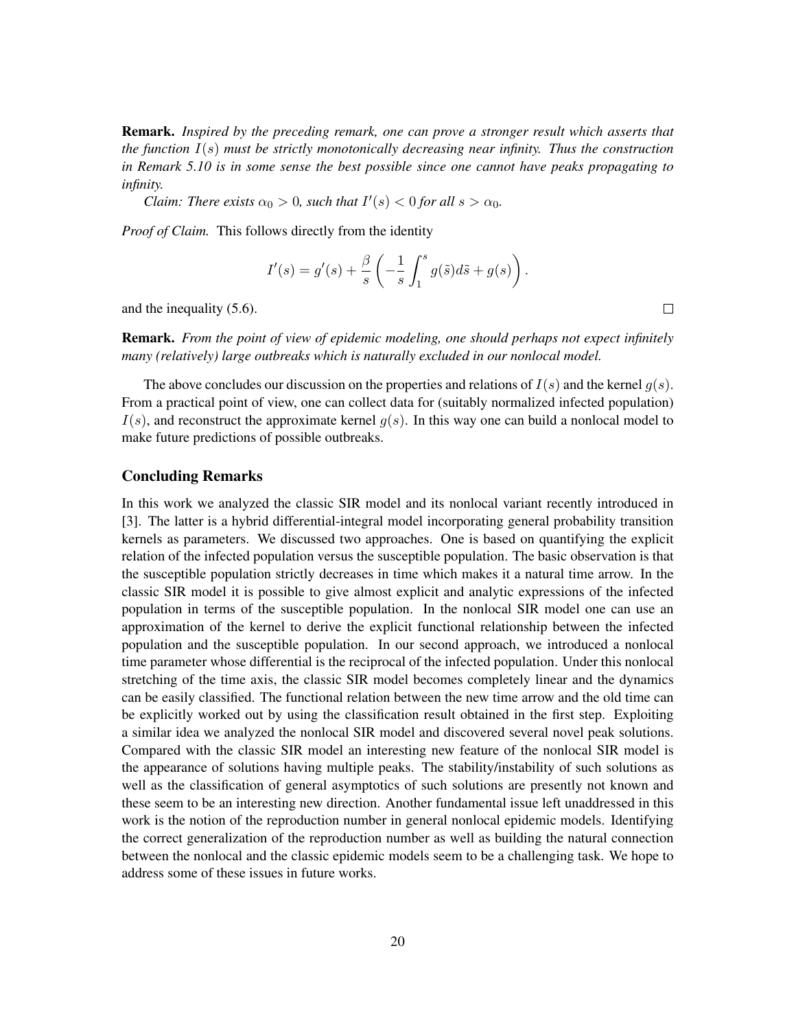Remark. *Inspired by the preceding remark, one can prove a stronger result which asserts that the function* I(s) *must be strictly monotonically decreasing near infinity. Thus the construction in Remark [5.10](#page-18-0) is in some sense the best possible since one cannot have peaks propagating to infinity.*

*Claim: There exists*  $\alpha_0 > 0$ *, such that*  $I'(s) < 0$  *for all*  $s > \alpha_0$ *.* 

*Proof of Claim.* This follows directly from the identity

$$
I'(s) = g'(s) + \frac{\beta}{s} \left( -\frac{1}{s} \int_1^s g(\tilde{s}) d\tilde{s} + g(s) \right).
$$

and the inequality [\(5.6\)](#page-18-1).

Remark. *From the point of view of epidemic modeling, one should perhaps not expect infinitely many (relatively) large outbreaks which is naturally excluded in our nonlocal model.*

The above concludes our discussion on the properties and relations of  $I(s)$  and the kernel  $g(s)$ . From a practical point of view, one can collect data for (suitably normalized infected population)  $I(s)$ , and reconstruct the approximate kernel  $g(s)$ . In this way one can build a nonlocal model to make future predictions of possible outbreaks.

### Concluding Remarks

In this work we analyzed the classic SIR model and its nonlocal variant recently introduced in [\[3\]](#page-20-0). The latter is a hybrid differential-integral model incorporating general probability transition kernels as parameters. We discussed two approaches. One is based on quantifying the explicit relation of the infected population versus the susceptible population. The basic observation is that the susceptible population strictly decreases in time which makes it a natural time arrow. In the classic SIR model it is possible to give almost explicit and analytic expressions of the infected population in terms of the susceptible population. In the nonlocal SIR model one can use an approximation of the kernel to derive the explicit functional relationship between the infected population and the susceptible population. In our second approach, we introduced a nonlocal time parameter whose differential is the reciprocal of the infected population. Under this nonlocal stretching of the time axis, the classic SIR model becomes completely linear and the dynamics can be easily classified. The functional relation between the new time arrow and the old time can be explicitly worked out by using the classification result obtained in the first step. Exploiting a similar idea we analyzed the nonlocal SIR model and discovered several novel peak solutions. Compared with the classic SIR model an interesting new feature of the nonlocal SIR model is the appearance of solutions having multiple peaks. The stability/instability of such solutions as well as the classification of general asymptotics of such solutions are presently not known and these seem to be an interesting new direction. Another fundamental issue left unaddressed in this work is the notion of the reproduction number in general nonlocal epidemic models. Identifying the correct generalization of the reproduction number as well as building the natural connection between the nonlocal and the classic epidemic models seem to be a challenging task. We hope to address some of these issues in future works.

 $\Box$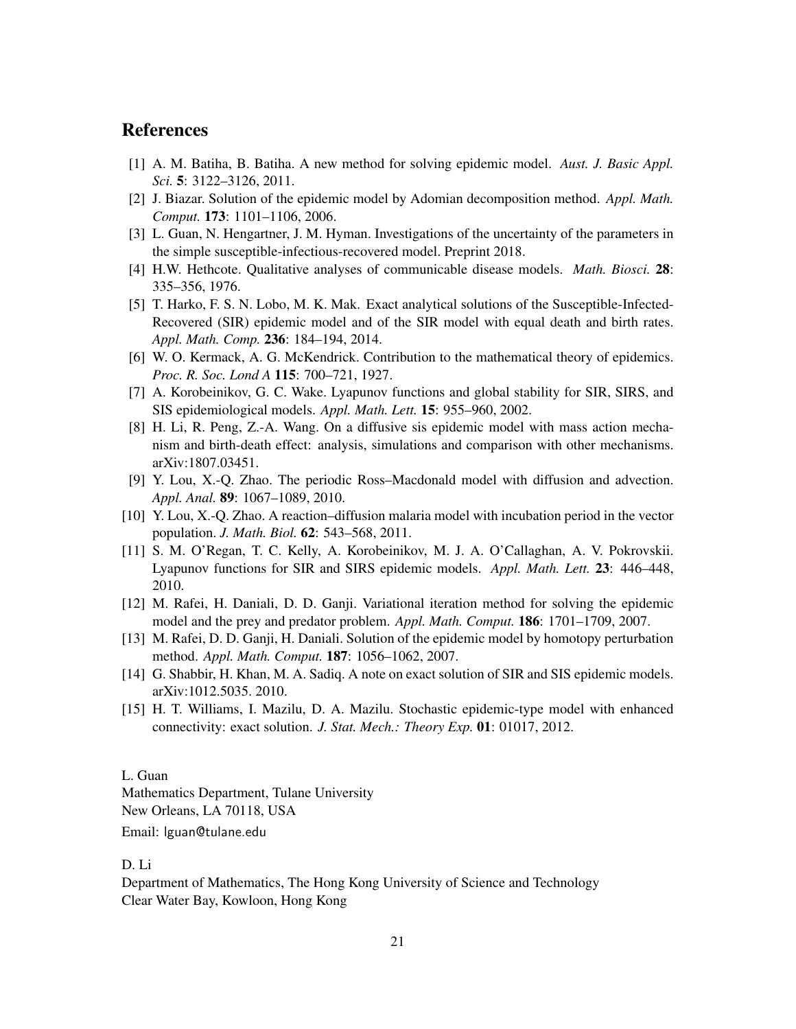## **References**

- <span id="page-20-4"></span>[1] A. M. Batiha, B. Batiha. A new method for solving epidemic model. *Aust. J. Basic Appl. Sci.* 5: 3122–3126, 2011.
- <span id="page-20-5"></span>[2] J. Biazar. Solution of the epidemic model by Adomian decomposition method. *Appl. Math. Comput.* 173: 1101–1106, 2006.
- <span id="page-20-0"></span>[3] L. Guan, N. Hengartner, J. M. Hyman. Investigations of the uncertainty of the parameters in the simple susceptible-infectious-recovered model. Preprint 2018.
- <span id="page-20-14"></span>[4] H.W. Hethcote. Qualitative analyses of communicable disease models. *Math. Biosci.* 28: 335–356, 1976.
- <span id="page-20-2"></span>[5] T. Harko, F. S. N. Lobo, M. K. Mak. Exact analytical solutions of the Susceptible-Infected-Recovered (SIR) epidemic model and of the SIR model with equal death and birth rates. *Appl. Math. Comp.* 236: 184–194, 2014.
- <span id="page-20-1"></span>[6] W. O. Kermack, A. G. McKendrick. Contribution to the mathematical theory of epidemics. *Proc. R. Soc. Lond A* 115: 700–721, 1927.
- <span id="page-20-9"></span>[7] A. Korobeinikov, G. C. Wake. Lyapunov functions and global stability for SIR, SIRS, and SIS epidemiological models. *Appl. Math. Lett.* 15: 955–960, 2002.
- <span id="page-20-11"></span>[8] H. Li, R. Peng, Z.-A. Wang. On a diffusive sis epidemic model with mass action mechanism and birth-death effect: analysis, simulations and comparison with other mechanisms. [arXiv:1807.03451.](http://arxiv.org/abs/1807.03451)
- <span id="page-20-12"></span>[9] Y. Lou, X.-Q. Zhao. The periodic Ross–Macdonald model with diffusion and advection. *Appl. Anal.* 89: 1067–1089, 2010.
- <span id="page-20-13"></span>[10] Y. Lou, X.-Q. Zhao. A reaction–diffusion malaria model with incubation period in the vector population. *J. Math. Biol.* 62: 543–568, 2011.
- <span id="page-20-10"></span>[11] S. M. O'Regan, T. C. Kelly, A. Korobeinikov, M. J. A. O'Callaghan, A. V. Pokrovskii. Lyapunov functions for SIR and SIRS epidemic models. *Appl. Math. Lett.* 23: 446–448, 2010.
- <span id="page-20-6"></span>[12] M. Rafei, H. Daniali, D. D. Ganji. Variational iteration method for solving the epidemic model and the prey and predator problem. *Appl. Math. Comput.* 186: 1701–1709, 2007.
- <span id="page-20-7"></span>[13] M. Rafei, D. D. Ganji, H. Daniali. Solution of the epidemic model by homotopy perturbation method. *Appl. Math. Comput.* 187: 1056–1062, 2007.
- <span id="page-20-3"></span>[14] G. Shabbir, H. Khan, M. A. Sadiq. A note on exact solution of SIR and SIS epidemic models. [arXiv:1012.5035.](http://arxiv.org/abs/1012.5035) 2010.
- <span id="page-20-8"></span>[15] H. T. Williams, I. Mazilu, D. A. Mazilu. Stochastic epidemic-type model with enhanced connectivity: exact solution. *J. Stat. Mech.: Theory Exp.* 01: 01017, 2012.

### L. Guan

Mathematics Department, Tulane University New Orleans, LA 70118, USA Email: lguan@tulane.edu

### D. Li

Department of Mathematics, The Hong Kong University of Science and Technology Clear Water Bay, Kowloon, Hong Kong